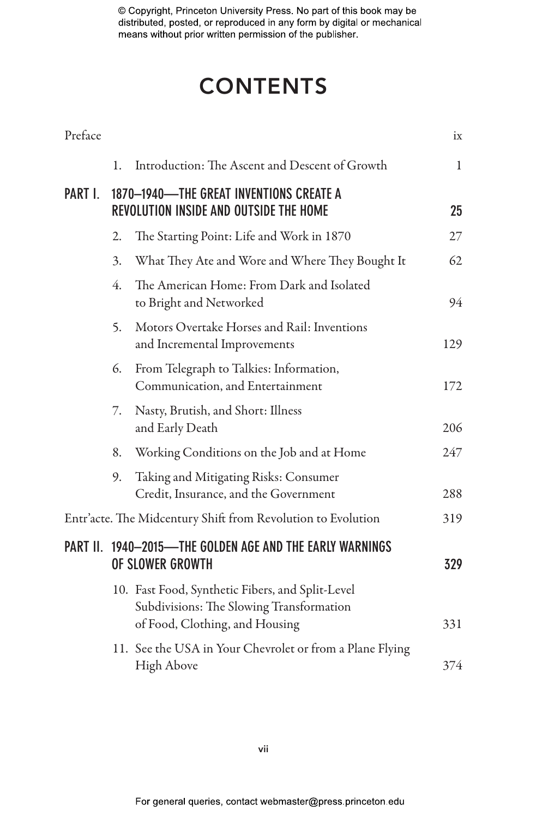# **CONTENTS**

| Preface |                                                                                          |                                                                                                                                | ix  |
|---------|------------------------------------------------------------------------------------------|--------------------------------------------------------------------------------------------------------------------------------|-----|
|         | 1.                                                                                       | Introduction: The Ascent and Descent of Growth                                                                                 | 1   |
| PART I. | 1870–1940–THE GREAT INVENTIONS CREATE A<br><b>REVOLUTION INSIDE AND OUTSIDE THE HOME</b> |                                                                                                                                |     |
|         | 2.                                                                                       | The Starting Point: Life and Work in 1870                                                                                      | 27  |
|         | 3.                                                                                       | What They Ate and Wore and Where They Bought It                                                                                | 62  |
|         | 4.                                                                                       | The American Home: From Dark and Isolated<br>to Bright and Networked                                                           | 94  |
|         | 5.                                                                                       | Motors Overtake Horses and Rail: Inventions<br>and Incremental Improvements                                                    | 129 |
|         | 6.                                                                                       | From Telegraph to Talkies: Information,<br>Communication, and Entertainment                                                    | 172 |
|         | 7.                                                                                       | Nasty, Brutish, and Short: Illness<br>and Early Death                                                                          | 206 |
|         | 8.                                                                                       | Working Conditions on the Job and at Home                                                                                      | 247 |
|         | 9.                                                                                       | Taking and Mitigating Risks: Consumer<br>Credit, Insurance, and the Government                                                 | 288 |
|         | Entr'acte. The Midcentury Shift from Revolution to Evolution                             |                                                                                                                                |     |
|         |                                                                                          | PART II. 1940–2015-THE GOLDEN AGE AND THE EARLY WARNINGS<br>OF SLOWER GROWTH                                                   | 329 |
|         |                                                                                          | 10. Fast Food, Synthetic Fibers, and Split-Level<br>Subdivisions: The Slowing Transformation<br>of Food, Clothing, and Housing | 331 |
|         |                                                                                          | 11. See the USA in Your Chevrolet or from a Plane Flying                                                                       |     |
|         |                                                                                          | <b>High Above</b>                                                                                                              | 374 |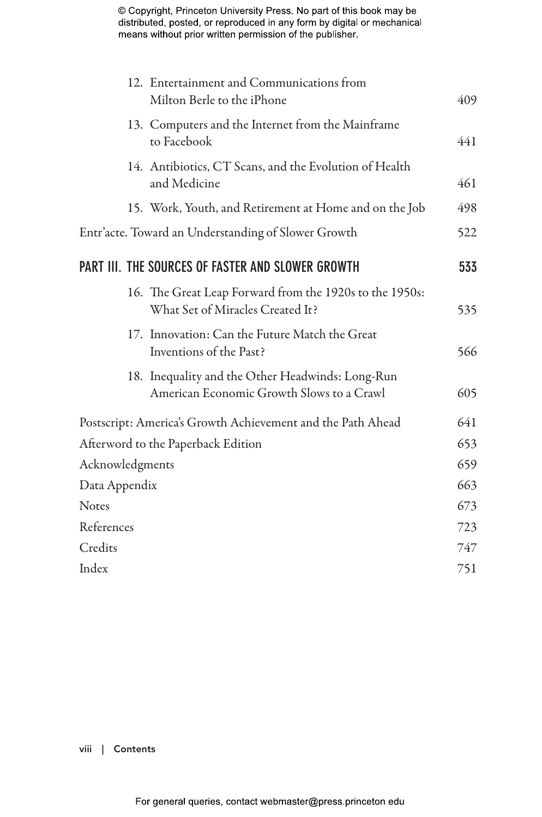|                                    |  | 12. Entertainment and Communications from<br>Milton Berle to the iPhone                       | 409 |
|------------------------------------|--|-----------------------------------------------------------------------------------------------|-----|
|                                    |  | 13. Computers and the Internet from the Mainframe<br>to Facebook                              | 441 |
|                                    |  | 14. Antibiotics, CT Scans, and the Evolution of Health<br>and Medicine                        | 461 |
|                                    |  | 15. Work, Youth, and Retirement at Home and on the Job                                        | 498 |
|                                    |  | Entr'acte. Toward an Understanding of Slower Growth                                           | 522 |
|                                    |  | PART III. THE SOURCES OF FASTER AND SLOWER GROWTH                                             | 533 |
|                                    |  | 16. The Great Leap Forward from the 1920s to the 1950s:<br>What Set of Miracles Created It?   | 535 |
|                                    |  | 17. Innovation: Can the Future Match the Great<br>Inventions of the Past?                     | 566 |
|                                    |  | 18. Inequality and the Other Headwinds: Long-Run<br>American Economic Growth Slows to a Crawl | 605 |
|                                    |  | Postscript: America's Growth Achievement and the Path Ahead                                   | 641 |
| Afterword to the Paperback Edition |  |                                                                                               | 653 |
| Acknowledgments                    |  |                                                                                               | 659 |
| Data Appendix                      |  |                                                                                               | 663 |
| Notes                              |  |                                                                                               |     |
| References                         |  |                                                                                               |     |
| Credits                            |  |                                                                                               |     |
| Index                              |  |                                                                                               | 751 |
|                                    |  |                                                                                               |     |

#### viii | Contents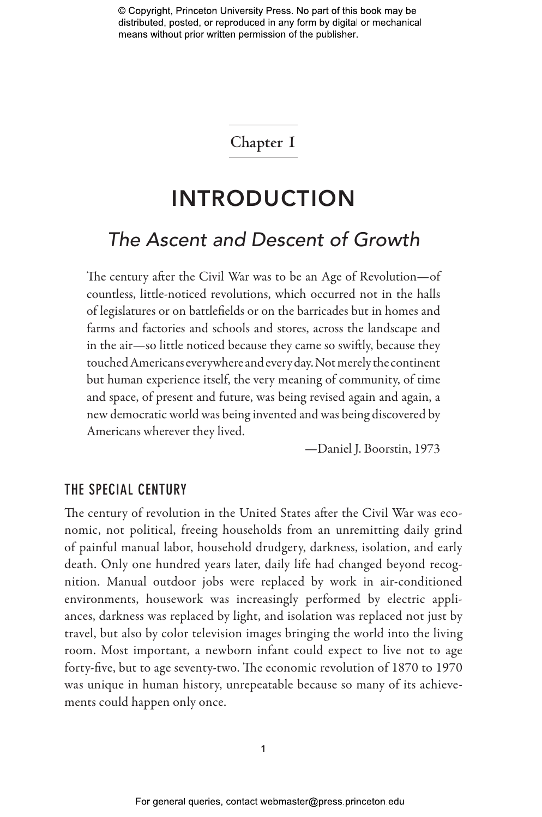**Chapter 1**

# INTRODUCTION

## *The Ascent and Descent of Growth*

The century after the Civil War was to be an Age of Revolution—of countless, little-noticed revolutions, which occurred not in the halls of legislatures or on battlefields or on the barricades but in homes and farms and factories and schools and stores, across the landscape and in the air—so little noticed because they came so swiftly, because they touched Americans everywhere and every day. Not merely the continent but human experience itself, the very meaning of community, of time and space, of present and future, was being revised again and again, a new democratic world was being invented and was being discovered by Americans wherever they lived.

—Daniel J. Boorstin, 1973

### THE SPECIAL CENTURY

The century of revolution in the United States after the Civil War was economic, not political, freeing households from an unremitting daily grind of painful manual labor, household drudgery, darkness, isolation, and early death. Only one hundred years later, daily life had changed beyond recognition. Manual outdoor jobs were replaced by work in air-conditioned environments, housework was increasingly performed by electric appliances, darkness was replaced by light, and isolation was replaced not just by travel, but also by color television images bringing the world into the living room. Most important, a newborn infant could expect to live not to age forty-five, but to age seventy-two. The economic revolution of 1870 to 1970 was unique in human history, unrepeatable because so many of its achievements could happen only once.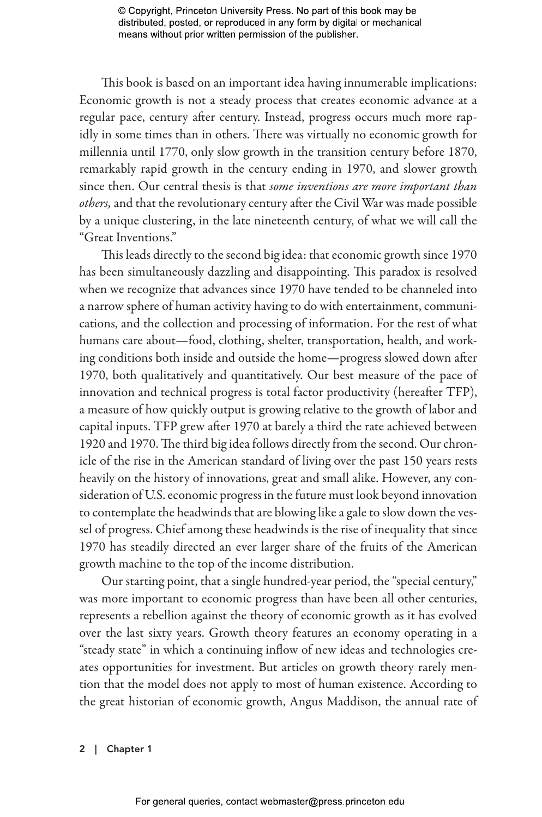This book is based on an important idea having innumerable implications: Economic growth is not a steady process that creates economic advance at a regular pace, century after century. Instead, progress occurs much more rapidly in some times than in others. There was virtually no economic growth for millennia until 1770, only slow growth in the transition century before 1870, remarkably rapid growth in the century ending in 1970, and slower growth since then. Our central thesis is that *some inventions are more important than others,* and that the revolutionary century after the Civil War was made possible by a unique clustering, in the late nineteenth century, of what we will call the "Great Inventions."

This leads directly to the second big idea: that economic growth since 1970 has been simultaneously dazzling and disappointing. This paradox is resolved when we recognize that advances since 1970 have tended to be channeled into a narrow sphere of human activity having to do with entertainment, communications, and the collection and processing of information. For the rest of what humans care about—food, clothing, shelter, transportation, health, and working conditions both inside and outside the home—progress slowed down after 1970, both qualitatively and quantitatively. Our best measure of the pace of innovation and technical progress is total factor productivity (hereafter TFP), a measure of how quickly output is growing relative to the growth of labor and capital inputs. TFP grew after 1970 at barely a third the rate achieved between 1920 and 1970. The third big idea follows directly from the second. Our chronicle of the rise in the American standard of living over the past 150 years rests heavily on the history of innovations, great and small alike. However, any consideration of U.S. economic progress in the future must look beyond innovation to contemplate the headwinds that are blowing like a gale to slow down the vessel of progress. Chief among these headwinds is the rise of inequality that since 1970 has steadily directed an ever larger share of the fruits of the American growth machine to the top of the income distribution.

Our starting point, that a single hundred-year period, the "special century," was more important to economic progress than have been all other centuries, represents a rebellion against the theory of economic growth as it has evolved over the last sixty years. Growth theory features an economy operating in a "steady state" in which a continuing inflow of new ideas and technologies creates opportunities for investment. But articles on growth theory rarely mention that the model does not apply to most of human existence. According to the great historian of economic growth, Angus Maddison, the annual rate of

#### 2 | Chapter 1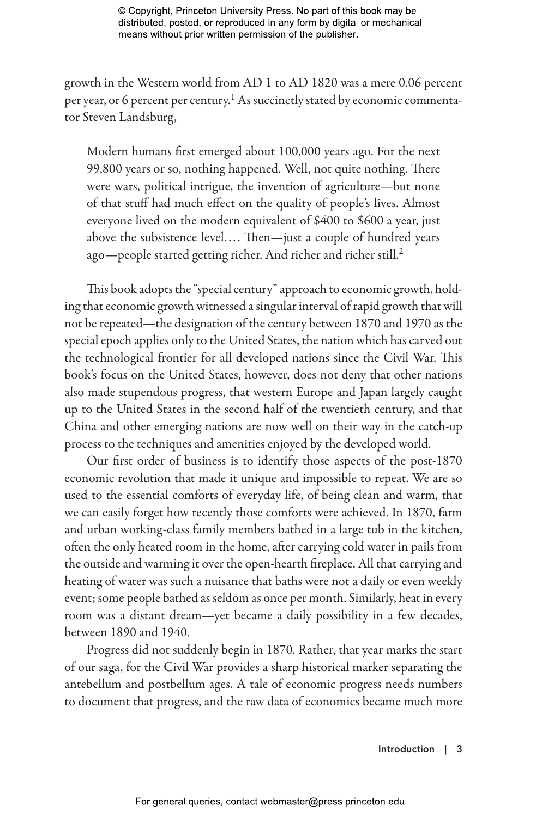growth in the Western world from AD 1 to AD 1820 was a mere 0.06 percent per year, or 6 percent per century.<sup>1</sup> As succinctly stated by economic commentator Steven Landsburg,

Modern humans first emerged about 100,000 years ago. For the next 99,800 years or so, nothing happened. Well, not quite nothing. There were wars, political intrigue, the invention of agriculture—but none of that stuff had much effect on the quality of people's lives. Almost everyone lived on the modern equivalent of \$400 to \$600 a year, just above the subsistence level.... Then-just a couple of hundred years ago—people started getting richer. And richer and richer still.<sup>2</sup>

This book adopts the "special century" approach to economic growth, holding that economic growth witnessed a singular interval of rapid growth that will not be repeated—the designation of the century between 1870 and 1970 as the special epoch applies only to the United States, the nation which has carved out the technological frontier for all developed nations since the Civil War. This book's focus on the United States, however, does not deny that other nations also made stupendous progress, that western Europe and Japan largely caught up to the United States in the second half of the twentieth century, and that China and other emerging nations are now well on their way in the catch-up process to the techniques and amenities enjoyed by the developed world.

Our first order of business is to identify those aspects of the post-1870 economic revolution that made it unique and impossible to repeat. We are so used to the essential comforts of everyday life, of being clean and warm, that we can easily forget how recently those comforts were achieved. In 1870, farm and urban working-class family members bathed in a large tub in the kitchen, often the only heated room in the home, after carrying cold water in pails from the outside and warming it over the open-hearth fireplace. All that carrying and heating of water was such a nuisance that baths were not a daily or even weekly event; some people bathed as seldom as once per month. Similarly, heat in every room was a distant dream—yet became a daily possibility in a few decades, between 1890 and 1940.

Progress did not suddenly begin in 1870. Rather, that year marks the start of our saga, for the Civil War provides a sharp historical marker separating the antebellum and postbellum ages. A tale of economic progress needs numbers to document that progress, and the raw data of economics became much more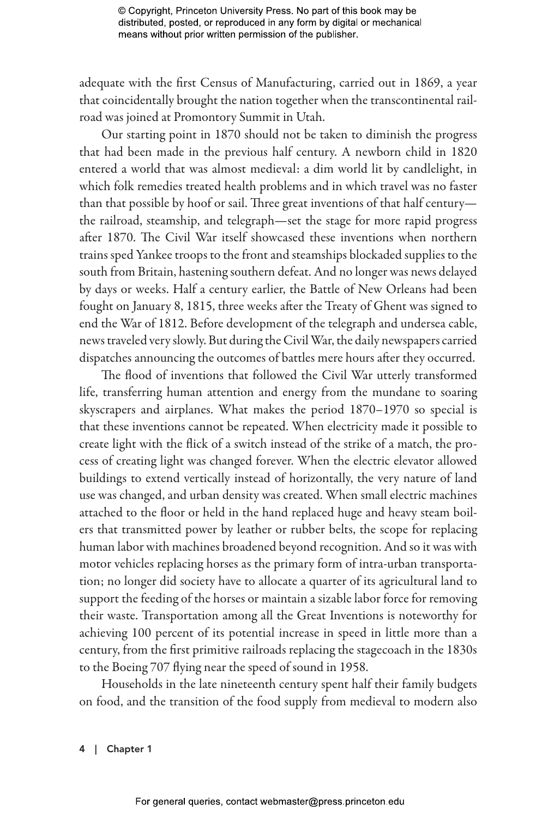adequate with the first Census of Manufacturing, carried out in 1869, a year that coincidentally brought the nation together when the transcontinental railroad was joined at Promontory Summit in Utah.

Our starting point in 1870 should not be taken to diminish the progress that had been made in the previous half century. A newborn child in 1820 entered a world that was almost medieval: a dim world lit by candlelight, in which folk remedies treated health problems and in which travel was no faster than that possible by hoof or sail. Three great inventions of that half century the railroad, steamship, and telegraph—set the stage for more rapid progress after 1870. The Civil War itself showcased these inventions when northern trains sped Yankee troops to the front and steamships blockaded supplies to the south from Britain, hastening southern defeat. And no longer was news delayed by days or weeks. Half a century earlier, the Battle of New Orleans had been fought on January 8, 1815, three weeks after the Treaty of Ghent was signed to end the War of 1812. Before development of the telegraph and undersea cable, news traveled very slowly. But during the Civil War, the daily newspapers carried dispatches announcing the outcomes of battles mere hours after they occurred.

The flood of inventions that followed the Civil War utterly transformed life, transferring human attention and energy from the mundane to soaring skyscrapers and airplanes. What makes the period 1870–1970 so special is that these inventions cannot be repeated. When electricity made it possible to create light with the flick of a switch instead of the strike of a match, the process of creating light was changed forever. When the electric elevator allowed buildings to extend vertically instead of horizontally, the very nature of land use was changed, and urban density was created. When small electric machines attached to the floor or held in the hand replaced huge and heavy steam boilers that transmitted power by leather or rubber belts, the scope for replacing human labor with machines broadened beyond recognition. And so it was with motor vehicles replacing horses as the primary form of intra-urban transportation; no longer did society have to allocate a quarter of its agricultural land to support the feeding of the horses or maintain a sizable labor force for removing their waste. Transportation among all the Great Inventions is noteworthy for achieving 100 percent of its potential increase in speed in little more than a century, from the first primitive railroads replacing the stagecoach in the 1830s to the Boeing 707 flying near the speed of sound in 1958.

Households in the late nineteenth century spent half their family budgets on food, and the transition of the food supply from medieval to modern also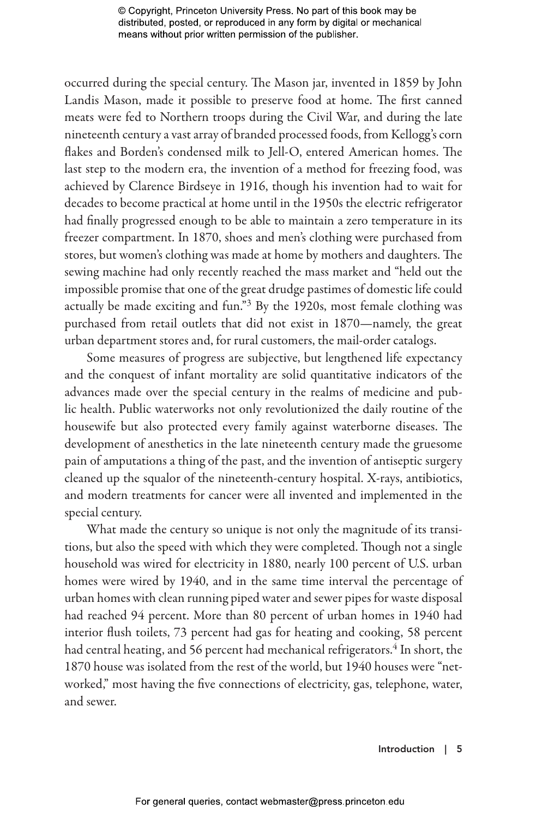occurred during the special century. The Mason jar, invented in 1859 by John Landis Mason, made it possible to preserve food at home. The first canned meats were fed to Northern troops during the Civil War, and during the late nineteenth century a vast array of branded processed foods, from Kellogg's corn flakes and Borden's condensed milk to Jell-O, entered American homes. The last step to the modern era, the invention of a method for freezing food, was achieved by Clarence Birdseye in 1916, though his invention had to wait for decades to become practical at home until in the 1950s the electric refrigerator had finally progressed enough to be able to maintain a zero temperature in its freezer compartment. In 1870, shoes and men's clothing were purchased from stores, but women's clothing was made at home by mothers and daughters. The sewing machine had only recently reached the mass market and "held out the impossible promise that one of the great drudge pastimes of domestic life could actually be made exciting and fun."3 By the 1920s, most female clothing was purchased from retail outlets that did not exist in 1870—namely, the great urban department stores and, for rural customers, the mail-order catalogs.

Some measures of progress are subjective, but lengthened life expectancy and the conquest of infant mortality are solid quantitative indicators of the advances made over the special century in the realms of medicine and public health. Public waterworks not only revolutionized the daily routine of the housewife but also protected every family against waterborne diseases. The development of anesthetics in the late nineteenth century made the gruesome pain of amputations a thing of the past, and the invention of antiseptic surgery cleaned up the squalor of the nineteenth-century hospital. X-rays, antibiotics, and modern treatments for cancer were all invented and implemented in the special century.

What made the century so unique is not only the magnitude of its transitions, but also the speed with which they were completed. Though not a single household was wired for electricity in 1880, nearly 100 percent of U.S. urban homes were wired by 1940, and in the same time interval the percentage of urban homes with clean running piped water and sewer pipes for waste disposal had reached 94 percent. More than 80 percent of urban homes in 1940 had interior flush toilets, 73 percent had gas for heating and cooking, 58 percent had central heating, and 56 percent had mechanical refrigerators.<sup>4</sup> In short, the 1870 house was isolated from the rest of the world, but 1940 houses were "networked," most having the five connections of electricity, gas, telephone, water, and sewer.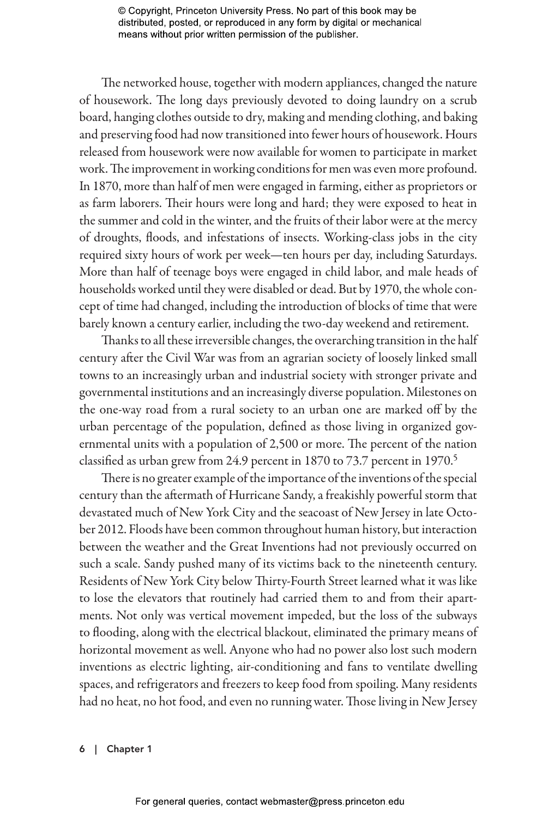The networked house, together with modern appliances, changed the nature of housework. The long days previously devoted to doing laundry on a scrub board, hanging clothes outside to dry, making and mending clothing, and baking and preserving food had now transitioned into fewer hours of housework. Hours released from housework were now available for women to participate in market work. The improvement in working conditions for men was even more profound. In 1870, more than half of men were engaged in farming, either as proprietors or as farm laborers. Their hours were long and hard; they were exposed to heat in the summer and cold in the winter, and the fruits of their labor were at the mercy of droughts, floods, and infestations of insects. Working-class jobs in the city required sixty hours of work per week—ten hours per day, including Saturdays. More than half of teenage boys were engaged in child labor, and male heads of households worked until they were disabled or dead. But by 1970, the whole concept of time had changed, including the introduction of blocks of time that were barely known a century earlier, including the two-day weekend and retirement.

Thanks to all these irreversible changes, the overarching transition in the half century after the Civil War was from an agrarian society of loosely linked small towns to an increasingly urban and industrial society with stronger private and governmental institutions and an increasingly diverse population. Milestones on the one-way road from a rural society to an urban one are marked off by the urban percentage of the population, defined as those living in organized governmental units with a population of 2,500 or more. The percent of the nation classified as urban grew from 24.9 percent in 1870 to 73.7 percent in 1970.<sup>5</sup>

There is no greater example of the importance of the inventions of the special century than the aftermath of Hurricane Sandy, a freakishly powerful storm that devastated much of New York City and the seacoast of New Jersey in late October 2012. Floods have been common throughout human history, but interaction between the weather and the Great Inventions had not previously occurred on such a scale. Sandy pushed many of its victims back to the nineteenth century. Residents of New York City below Thirty-Fourth Street learned what it was like to lose the elevators that routinely had carried them to and from their apartments. Not only was vertical movement impeded, but the loss of the subways to flooding, along with the electrical blackout, eliminated the primary means of horizontal movement as well. Anyone who had no power also lost such modern inventions as electric lighting, air-conditioning and fans to ventilate dwelling spaces, and refrigerators and freezers to keep food from spoiling. Many residents had no heat, no hot food, and even no running water. Those living in New Jersey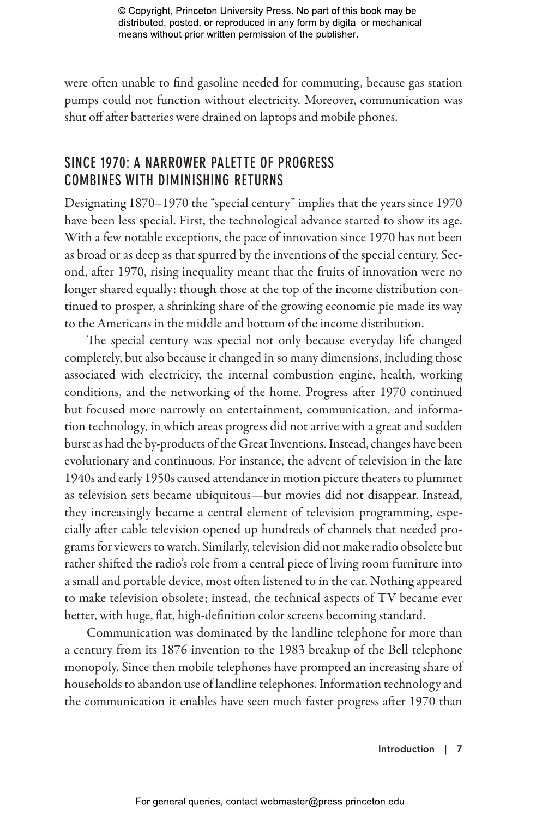were often unable to find gasoline needed for commuting, because gas station pumps could not function without electricity. Moreover, communication was shut off after batteries were drained on laptops and mobile phones.

## SINCE 1970: A NARROWER PALETTE OF PROGRESS COMBINES WITH DIMINISHING RETURNS

Designating 1870–1970 the "special century" implies that the years since 1970 have been less special. First, the technological advance started to show its age. With a few notable exceptions, the pace of innovation since 1970 has not been as broad or as deep as that spurred by the inventions of the special century. Second, after 1970, rising inequality meant that the fruits of innovation were no longer shared equally: though those at the top of the income distribution continued to prosper, a shrinking share of the growing economic pie made its way to the Americans in the middle and bottom of the income distribution.

The special century was special not only because everyday life changed completely, but also because it changed in so many dimensions, including those associated with electricity, the internal combustion engine, health, working conditions, and the networking of the home. Progress after 1970 continued but focused more narrowly on entertainment, communication, and information technology, in which areas progress did not arrive with a great and sudden burst as had the by-products of the Great Inventions. Instead, changes have been evolutionary and continuous. For instance, the advent of television in the late 1940s and early 1950s caused attendance in motion picture theaters to plummet as television sets became ubiquitous—but movies did not disappear. Instead, they increasingly became a central element of television programming, especially after cable television opened up hundreds of channels that needed programs for viewers to watch. Similarly, television did not make radio obsolete but rather shifted the radio's role from a central piece of living room furniture into a small and portable device, most often listened to in the car. Nothing appeared to make television obsolete; instead, the technical aspects of TV became ever better, with huge, flat, high-definition color screens becoming standard.

Communication was dominated by the landline telephone for more than a century from its 1876 invention to the 1983 breakup of the Bell telephone monopoly. Since then mobile telephones have prompted an increasing share of households to abandon use of landline telephones. Information technology and the communication it enables have seen much faster progress after 1970 than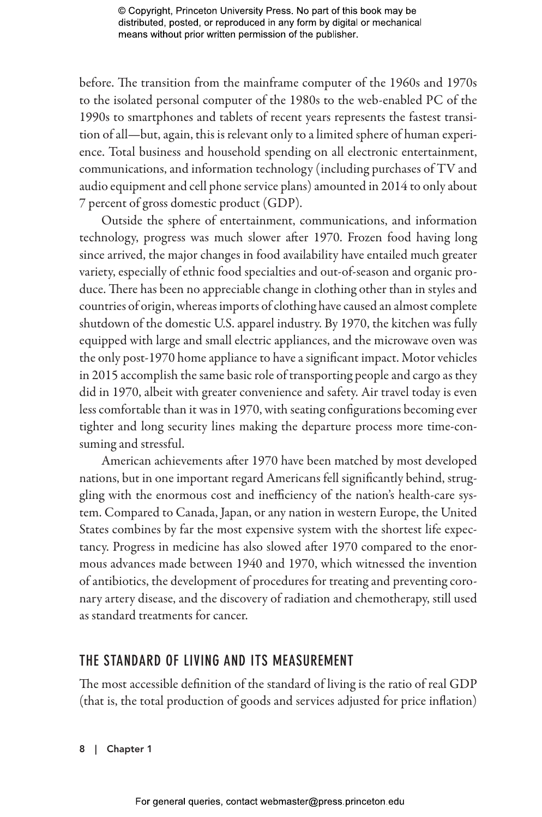before. The transition from the mainframe computer of the 1960s and 1970s to the isolated personal computer of the 1980s to the web-enabled PC of the 1990s to smartphones and tablets of recent years represents the fastest transition of all—but, again, this is relevant only to a limited sphere of human experience. Total business and household spending on all electronic entertainment, communications, and information technology (including purchases of TV and audio equipment and cell phone service plans) amounted in 2014 to only about 7 percent of gross domestic product (GDP).

Outside the sphere of entertainment, communications, and information technology, progress was much slower after 1970. Frozen food having long since arrived, the major changes in food availability have entailed much greater variety, especially of ethnic food specialties and out-of-season and organic produce. There has been no appreciable change in clothing other than in styles and countries of origin, whereas imports of clothing have caused an almost complete shutdown of the domestic U.S. apparel industry. By 1970, the kitchen was fully equipped with large and small electric appliances, and the microwave oven was the only post-1970 home appliance to have a significant impact. Motor vehicles in 2015 accomplish the same basic role of transporting people and cargo as they did in 1970, albeit with greater convenience and safety. Air travel today is even less comfortable than it was in 1970, with seating configurations becoming ever tighter and long security lines making the departure process more time-consuming and stressful.

American achievements after 1970 have been matched by most developed nations, but in one important regard Americans fell significantly behind, struggling with the enormous cost and inefficiency of the nation's health-care system. Compared to Canada, Japan, or any nation in western Europe, the United States combines by far the most expensive system with the shortest life expectancy. Progress in medicine has also slowed after 1970 compared to the enormous advances made between 1940 and 1970, which witnessed the invention of antibiotics, the development of procedures for treating and preventing coronary artery disease, and the discovery of radiation and chemotherapy, still used as standard treatments for cancer.

## THE STANDARD OF LIVING AND ITS MEASUREMENT

The most accessible definition of the standard of living is the ratio of real GDP (that is, the total production of goods and services adjusted for price inflation)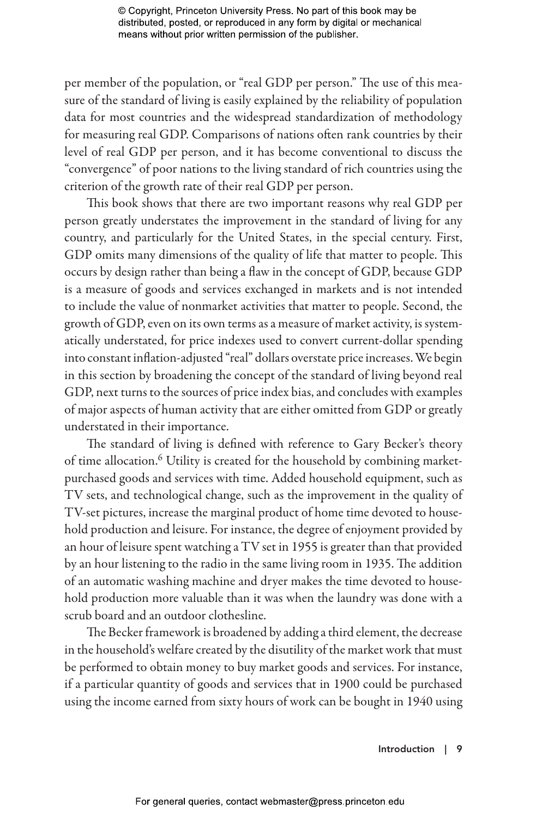per member of the population, or "real GDP per person." The use of this measure of the standard of living is easily explained by the reliability of population data for most countries and the widespread standardization of methodology for measuring real GDP. Comparisons of nations often rank countries by their level of real GDP per person, and it has become conventional to discuss the "convergence" of poor nations to the living standard of rich countries using the criterion of the growth rate of their real GDP per person.

This book shows that there are two important reasons why real GDP per person greatly understates the improvement in the standard of living for any country, and particularly for the United States, in the special century. First, GDP omits many dimensions of the quality of life that matter to people. This occurs by design rather than being a flaw in the concept of GDP, because GDP is a measure of goods and services exchanged in markets and is not intended to include the value of nonmarket activities that matter to people. Second, the growth of GDP, even on its own terms as a measure of market activity, is systematically understated, for price indexes used to convert current-dollar spending into constant inflation-adjusted "real" dollars overstate price increases. We begin in this section by broadening the concept of the standard of living beyond real GDP, next turns to the sources of price index bias, and concludes with examples of major aspects of human activity that are either omitted from GDP or greatly understated in their importance.

The standard of living is defined with reference to Gary Becker's theory of time allocation.<sup>6</sup> Utility is created for the household by combining marketpurchased goods and services with time. Added household equipment, such as TV sets, and technological change, such as the improvement in the quality of TV-set pictures, increase the marginal product of home time devoted to household production and leisure. For instance, the degree of enjoyment provided by an hour of leisure spent watching a TV set in 1955 is greater than that provided by an hour listening to the radio in the same living room in 1935. The addition of an automatic washing machine and dryer makes the time devoted to household production more valuable than it was when the laundry was done with a scrub board and an outdoor clothesline.

The Becker framework is broadened by adding a third element, the decrease in the household's welfare created by the disutility of the market work that must be performed to obtain money to buy market goods and services. For instance, if a particular quantity of goods and services that in 1900 could be purchased using the income earned from sixty hours of work can be bought in 1940 using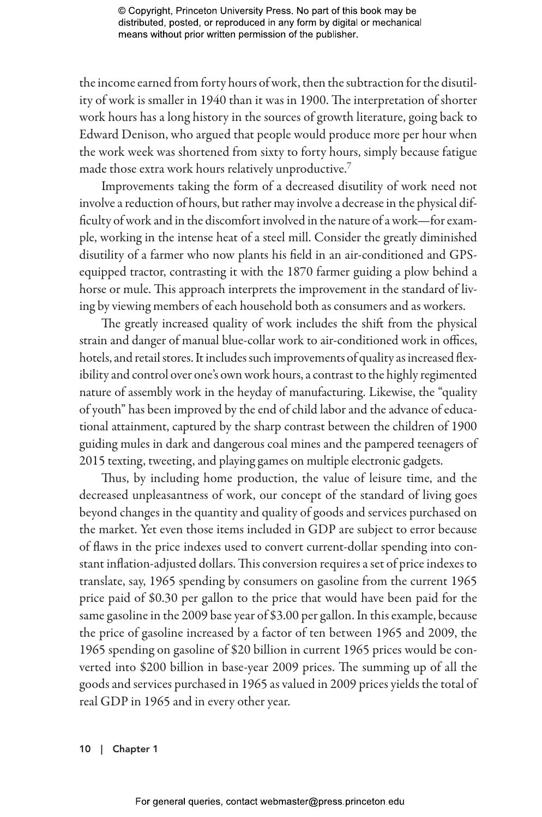the income earned from forty hours of work, then the subtraction for the disutility of work is smaller in 1940 than it was in 1900. The interpretation of shorter work hours has a long history in the sources of growth literature, going back to Edward Denison, who argued that people would produce more per hour when the work week was shortened from sixty to forty hours, simply because fatigue made those extra work hours relatively unproductive.7

Improvements taking the form of a decreased disutility of work need not involve a reduction of hours, but rather may involve a decrease in the physical difficulty of work and in the discomfort involved in the nature of a work—for example, working in the intense heat of a steel mill. Consider the greatly diminished disutility of a farmer who now plants his field in an air-conditioned and GPSequipped tractor, contrasting it with the 1870 farmer guiding a plow behind a horse or mule. This approach interprets the improvement in the standard of living by viewing members of each household both as consumers and as workers.

The greatly increased quality of work includes the shift from the physical strain and danger of manual blue-collar work to air-conditioned work in offices, hotels, and retail stores. It includes such improvements of quality as increased flexibility and control over one's own work hours, a contrast to the highly regimented nature of assembly work in the heyday of manufacturing. Likewise, the "quality of youth" has been improved by the end of child labor and the advance of educational attainment, captured by the sharp contrast between the children of 1900 guiding mules in dark and dangerous coal mines and the pampered teenagers of 2015 texting, tweeting, and playing games on multiple electronic gadgets.

Thus, by including home production, the value of leisure time, and the decreased unpleasantness of work, our concept of the standard of living goes beyond changes in the quantity and quality of goods and services purchased on the market. Yet even those items included in GDP are subject to error because of flaws in the price indexes used to convert current-dollar spending into constant inflation-adjusted dollars. This conversion requires a set of price indexes to translate, say, 1965 spending by consumers on gasoline from the current 1965 price paid of \$0.30 per gallon to the price that would have been paid for the same gasoline in the 2009 base year of \$3.00 per gallon. In this example, because the price of gasoline increased by a factor of ten between 1965 and 2009, the 1965 spending on gasoline of \$20 billion in current 1965 prices would be converted into \$200 billion in base-year 2009 prices. The summing up of all the goods and services purchased in 1965 as valued in 2009 prices yields the total of real GDP in 1965 and in every other year.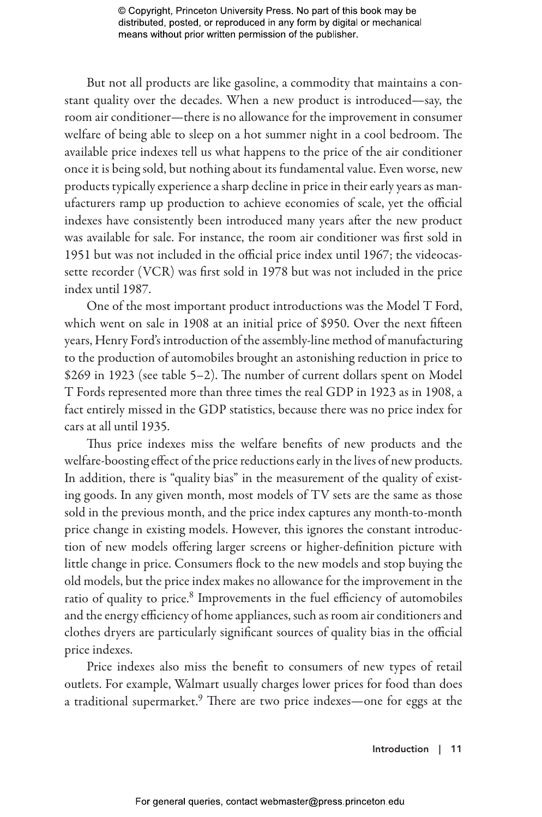But not all products are like gasoline, a commodity that maintains a constant quality over the decades. When a new product is introduced—say, the room air conditioner—there is no allowance for the improvement in consumer welfare of being able to sleep on a hot summer night in a cool bedroom. The available price indexes tell us what happens to the price of the air conditioner once it is being sold, but nothing about its fundamental value. Even worse, new products typically experience a sharp decline in price in their early years as manufacturers ramp up production to achieve economies of scale, yet the official indexes have consistently been introduced many years after the new product was available for sale. For instance, the room air conditioner was first sold in 1951 but was not included in the official price index until 1967; the videocassette recorder (VCR) was first sold in 1978 but was not included in the price index until 1987.

One of the most important product introductions was the Model T Ford, which went on sale in 1908 at an initial price of \$950. Over the next fifteen years, Henry Ford's introduction of the assembly-line method of manufacturing to the production of automobiles brought an astonishing reduction in price to \$269 in 1923 (see table 5–2). The number of current dollars spent on Model T Fords represented more than three times the real GDP in 1923 as in 1908, a fact entirely missed in the GDP statistics, because there was no price index for cars at all until 1935.

Thus price indexes miss the welfare benefits of new products and the welfare-boosting effect of the price reductions early in the lives of new products. In addition, there is "quality bias" in the measurement of the quality of existing goods. In any given month, most models of TV sets are the same as those sold in the previous month, and the price index captures any month-to-month price change in existing models. However, this ignores the constant introduction of new models offering larger screens or higher-definition picture with little change in price. Consumers flock to the new models and stop buying the old models, but the price index makes no allowance for the improvement in the ratio of quality to price.<sup>8</sup> Improvements in the fuel efficiency of automobiles and the energy efficiency of home appliances, such as room air conditioners and clothes dryers are particularly significant sources of quality bias in the official price indexes.

Price indexes also miss the benefit to consumers of new types of retail outlets. For example, Walmart usually charges lower prices for food than does a traditional supermarket.<sup>9</sup> There are two price indexes—one for eggs at the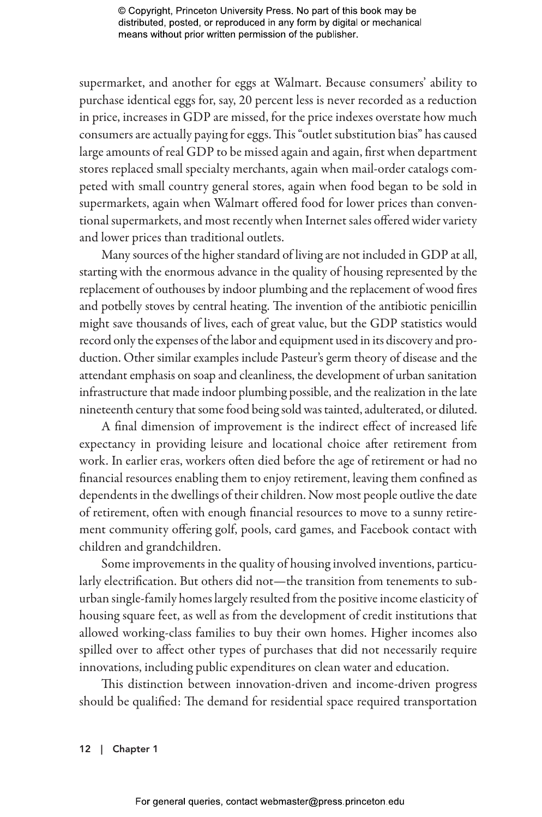supermarket, and another for eggs at Walmart. Because consumers' ability to purchase identical eggs for, say, 20 percent less is never recorded as a reduction in price, increases in GDP are missed, for the price indexes overstate how much consumers are actually paying for eggs. This "outlet substitution bias" has caused large amounts of real GDP to be missed again and again, first when department stores replaced small specialty merchants, again when mail-order catalogs competed with small country general stores, again when food began to be sold in supermarkets, again when Walmart offered food for lower prices than conventional supermarkets, and most recently when Internet sales offered wider variety and lower prices than traditional outlets.

Many sources of the higher standard of living are not included in GDP at all, starting with the enormous advance in the quality of housing represented by the replacement of outhouses by indoor plumbing and the replacement of wood fires and potbelly stoves by central heating. The invention of the antibiotic penicillin might save thousands of lives, each of great value, but the GDP statistics would record only the expenses of the labor and equipment used in its discovery and production. Other similar examples include Pasteur's germ theory of disease and the attendant emphasis on soap and cleanliness, the development of urban sanitation infrastructure that made indoor plumbing possible, and the realization in the late nineteenth century that some food being sold was tainted, adulterated, or diluted.

A final dimension of improvement is the indirect effect of increased life expectancy in providing leisure and locational choice after retirement from work. In earlier eras, workers often died before the age of retirement or had no financial resources enabling them to enjoy retirement, leaving them confined as dependents in the dwellings of their children. Now most people outlive the date of retirement, often with enough financial resources to move to a sunny retirement community offering golf, pools, card games, and Facebook contact with children and grandchildren.

Some improvements in the quality of housing involved inventions, particularly electrification. But others did not—the transition from tenements to suburban single-family homes largely resulted from the positive income elasticity of housing square feet, as well as from the development of credit institutions that allowed working-class families to buy their own homes. Higher incomes also spilled over to affect other types of purchases that did not necessarily require innovations, including public expenditures on clean water and education.

This distinction between innovation-driven and income-driven progress should be qualified: The demand for residential space required transportation

#### 12 | Chapter 1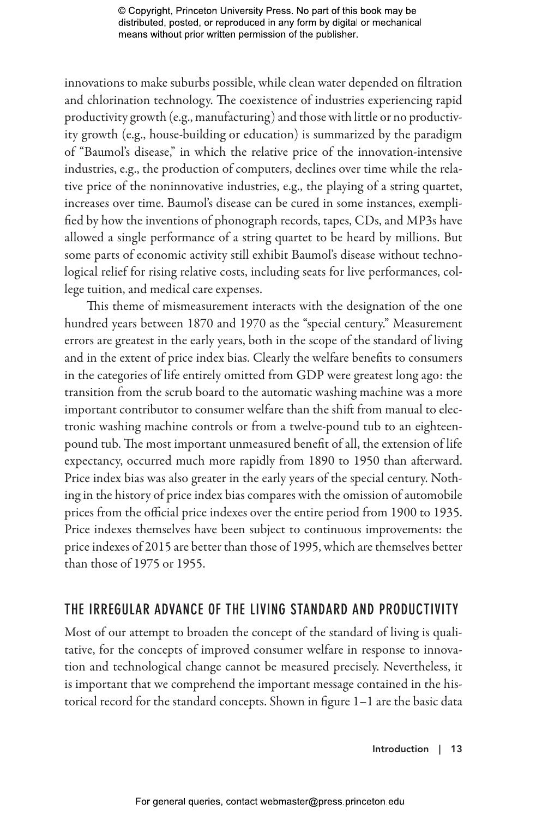innovations to make suburbs possible, while clean water depended on filtration and chlorination technology. The coexistence of industries experiencing rapid productivity growth (e.g., manufacturing) and those with little or no productivity growth (e.g., house-building or education) is summarized by the paradigm of "Baumol's disease," in which the relative price of the innovation-intensive industries, e.g., the production of computers, declines over time while the relative price of the noninnovative industries, e.g., the playing of a string quartet, increases over time. Baumol's disease can be cured in some instances, exemplified by how the inventions of phonograph records, tapes, CDs, and MP3s have allowed a single performance of a string quartet to be heard by millions. But some parts of economic activity still exhibit Baumol's disease without technological relief for rising relative costs, including seats for live performances, college tuition, and medical care expenses.

This theme of mismeasurement interacts with the designation of the one hundred years between 1870 and 1970 as the "special century." Measurement errors are greatest in the early years, both in the scope of the standard of living and in the extent of price index bias. Clearly the welfare benefits to consumers in the categories of life entirely omitted from GDP were greatest long ago: the transition from the scrub board to the automatic washing machine was a more important contributor to consumer welfare than the shift from manual to electronic washing machine controls or from a twelve-pound tub to an eighteenpound tub. The most important unmeasured benefit of all, the extension of life expectancy, occurred much more rapidly from 1890 to 1950 than afterward. Price index bias was also greater in the early years of the special century. Nothing in the history of price index bias compares with the omission of automobile prices from the official price indexes over the entire period from 1900 to 1935. Price indexes themselves have been subject to continuous improvements: the price indexes of 2015 are better than those of 1995, which are themselves better than those of 1975 or 1955.

## THE IRREGULAR ADVANCE OF THE LIVING STANDARD AND PRODUCTIVITY

Most of our attempt to broaden the concept of the standard of living is qualitative, for the concepts of improved consumer welfare in response to innovation and technological change cannot be measured precisely. Nevertheless, it is important that we comprehend the important message contained in the historical record for the standard concepts. Shown in figure 1–1 are the basic data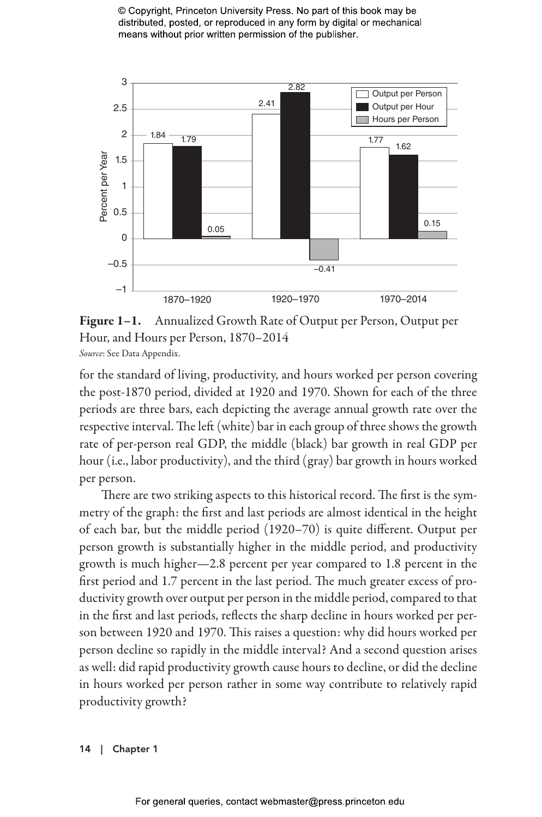

Figure 1–1. Annualized Growth Rate of Output per Person, Output per Hour, and Hours per Person, 1870–2014 *Source*: See Data Appendix.

for the standard of living, productivity, and hours worked per person covering the post-1870 period, divided at 1920 and 1970. Shown for each of the three periods are three bars, each depicting the average annual growth rate over the respective interval. The left (white) bar in each group of three shows the growth rate of per-person real GDP, the middle (black) bar growth in real GDP per hour (i.e., labor productivity), and the third (gray) bar growth in hours worked per person.

There are two striking aspects to this historical record. The first is the symmetry of the graph: the first and last periods are almost identical in the height of each bar, but the middle period (1920–70) is quite different. Output per person growth is substantially higher in the middle period, and productivity growth is much higher—2.8 percent per year compared to 1.8 percent in the first period and 1.7 percent in the last period. The much greater excess of productivity growth over output per person in the middle period, compared to that in the first and last periods, reflects the sharp decline in hours worked per person between 1920 and 1970. This raises a question: why did hours worked per person decline so rapidly in the middle interval? And a second question arises as well: did rapid productivity growth cause hours to decline, or did the decline in hours worked per person rather in some way contribute to relatively rapid productivity growth?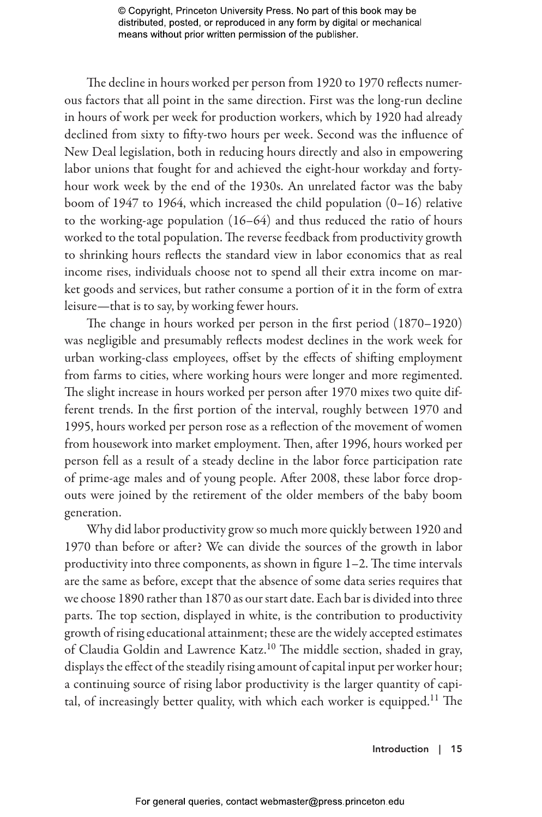The decline in hours worked per person from 1920 to 1970 reflects numerous factors that all point in the same direction. First was the long-run decline in hours of work per week for production workers, which by 1920 had already declined from sixty to fifty-two hours per week. Second was the influence of New Deal legislation, both in reducing hours directly and also in empowering labor unions that fought for and achieved the eight-hour workday and fortyhour work week by the end of the 1930s. An unrelated factor was the baby boom of 1947 to 1964, which increased the child population (0–16) relative to the working-age population (16–64) and thus reduced the ratio of hours worked to the total population. The reverse feedback from productivity growth to shrinking hours reflects the standard view in labor economics that as real income rises, individuals choose not to spend all their extra income on market goods and services, but rather consume a portion of it in the form of extra leisure—that is to say, by working fewer hours.

The change in hours worked per person in the first period (1870–1920) was negligible and presumably reflects modest declines in the work week for urban working-class employees, offset by the effects of shifting employment from farms to cities, where working hours were longer and more regimented. The slight increase in hours worked per person after 1970 mixes two quite different trends. In the first portion of the interval, roughly between 1970 and 1995, hours worked per person rose as a reflection of the movement of women from housework into market employment. Then, after 1996, hours worked per person fell as a result of a steady decline in the labor force participation rate of prime-age males and of young people. After 2008, these labor force dropouts were joined by the retirement of the older members of the baby boom generation.

Why did labor productivity grow so much more quickly between 1920 and 1970 than before or after? We can divide the sources of the growth in labor productivity into three components, as shown in figure 1–2. The time intervals are the same as before, except that the absence of some data series requires that we choose 1890 rather than 1870 as our start date. Each bar is divided into three parts. The top section, displayed in white, is the contribution to productivity growth of rising educational attainment; these are the widely accepted estimates of Claudia Goldin and Lawrence Katz.10 The middle section, shaded in gray, displays the effect of the steadily rising amount of capital input per worker hour; a continuing source of rising labor productivity is the larger quantity of capital, of increasingly better quality, with which each worker is equipped.11 The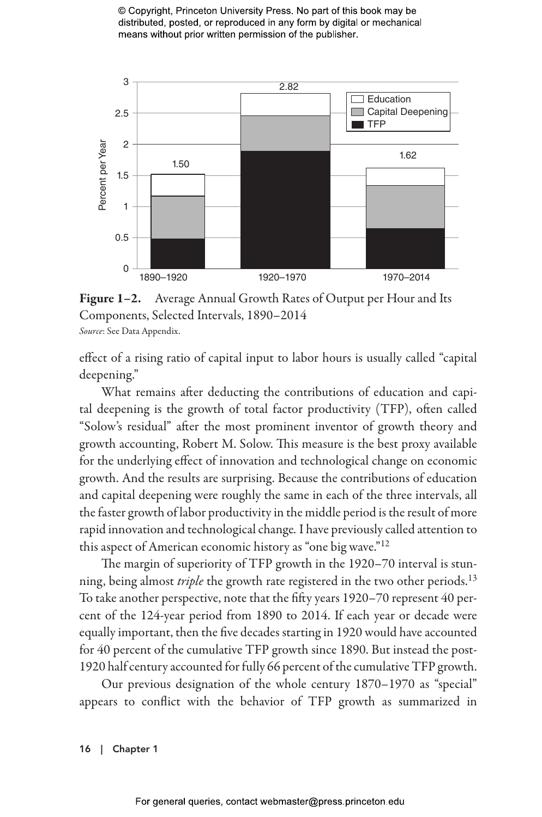

Figure 1–2. Average Annual Growth Rates of Output per Hour and Its Components, Selected Intervals, 1890–2014 *Source*: See Data Appendix.

effect of a rising ratio of capital input to labor hours is usually called "capital deepening."

What remains after deducting the contributions of education and capital deepening is the growth of total factor productivity (TFP), often called "Solow's residual" after the most prominent inventor of growth theory and growth accounting, Robert M. Solow. This measure is the best proxy available for the underlying effect of innovation and technological change on economic growth. And the results are surprising. Because the contributions of education and capital deepening were roughly the same in each of the three intervals, all the faster growth of labor productivity in the middle period is the result of more rapid innovation and technological change*.* I have previously called attention to this aspect of American economic history as "one big wave."12

The margin of superiority of TFP growth in the 1920–70 interval is stunning, being almost *triple* the growth rate registered in the two other periods.<sup>13</sup> To take another perspective, note that the fifty years 1920–70 represent 40 percent of the 124-year period from 1890 to 2014. If each year or decade were equally important, then the five decades starting in 1920 would have accounted for 40 percent of the cumulative TFP growth since 1890. But instead the post-1920 half century accounted for fully 66 percent of the cumulative TFP growth.

Our previous designation of the whole century 1870–1970 as "special" appears to conflict with the behavior of TFP growth as summarized in

16 | Chapter 1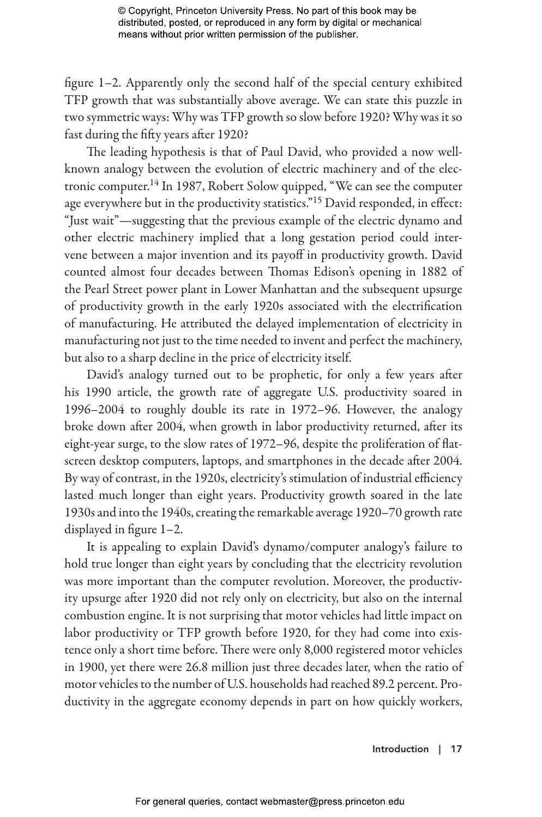figure 1–2. Apparently only the second half of the special century exhibited TFP growth that was substantially above average. We can state this puzzle in two symmetric ways: Why was TFP growth so slow before 1920? Why was it so fast during the fifty years after 1920?

The leading hypothesis is that of Paul David, who provided a now wellknown analogy between the evolution of electric machinery and of the electronic computer.14 In 1987, Robert Solow quipped, "We can see the computer age everywhere but in the productivity statistics."15 David responded, in effect: "Just wait"—suggesting that the previous example of the electric dynamo and other electric machinery implied that a long gestation period could intervene between a major invention and its payoff in productivity growth. David counted almost four decades between Thomas Edison's opening in 1882 of the Pearl Street power plant in Lower Manhattan and the subsequent upsurge of productivity growth in the early 1920s associated with the electrification of manufacturing. He attributed the delayed implementation of electricity in manufacturing not just to the time needed to invent and perfect the machinery, but also to a sharp decline in the price of electricity itself.

David's analogy turned out to be prophetic, for only a few years after his 1990 article, the growth rate of aggregate U.S. productivity soared in 1996–2004 to roughly double its rate in 1972–96. However, the analogy broke down after 2004, when growth in labor productivity returned, after its eight-year surge, to the slow rates of 1972–96, despite the proliferation of flatscreen desktop computers, laptops, and smartphones in the decade after 2004. By way of contrast, in the 1920s, electricity's stimulation of industrial efficiency lasted much longer than eight years. Productivity growth soared in the late 1930s and into the 1940s, creating the remarkable average 1920–70 growth rate displayed in figure 1–2.

It is appealing to explain David's dynamo/computer analogy's failure to hold true longer than eight years by concluding that the electricity revolution was more important than the computer revolution. Moreover, the productivity upsurge after 1920 did not rely only on electricity, but also on the internal combustion engine. It is not surprising that motor vehicles had little impact on labor productivity or TFP growth before 1920, for they had come into existence only a short time before. There were only 8,000 registered motor vehicles in 1900, yet there were 26.8 million just three decades later, when the ratio of motor vehicles to the number of U.S. households had reached 89.2 percent. Productivity in the aggregate economy depends in part on how quickly workers,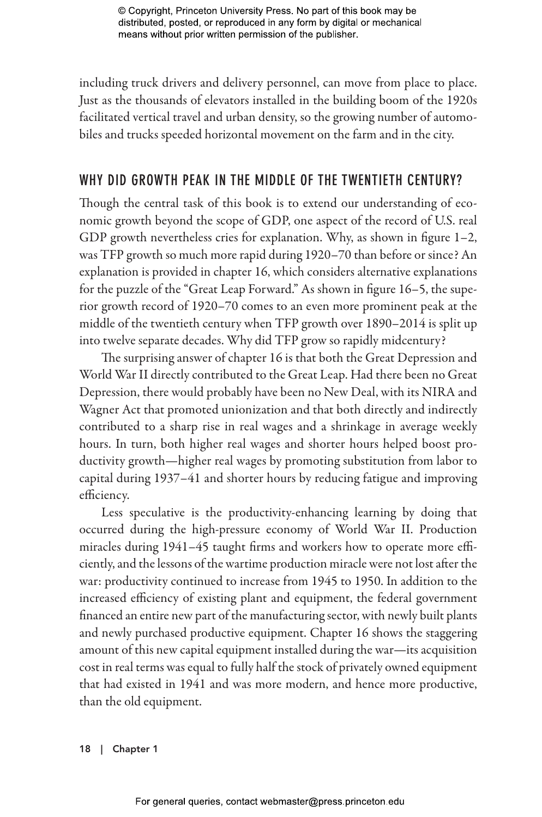including truck drivers and delivery personnel, can move from place to place. Just as the thousands of elevators installed in the building boom of the 1920s facilitated vertical travel and urban density, so the growing number of automobiles and trucks speeded horizontal movement on the farm and in the city.

## WHY DID GROWTH PEAK IN THE MIDDLE OF THE TWENTIETH CENTURY?

Though the central task of this book is to extend our understanding of economic growth beyond the scope of GDP, one aspect of the record of U.S. real GDP growth nevertheless cries for explanation. Why, as shown in figure 1–2, was TFP growth so much more rapid during 1920–70 than before or since? An explanation is provided in chapter 16, which considers alternative explanations for the puzzle of the "Great Leap Forward." As shown in figure 16–5, the superior growth record of 1920–70 comes to an even more prominent peak at the middle of the twentieth century when TFP growth over 1890–2014 is split up into twelve separate decades. Why did TFP grow so rapidly midcentury?

The surprising answer of chapter 16 is that both the Great Depression and World War II directly contributed to the Great Leap. Had there been no Great Depression, there would probably have been no New Deal, with its NIRA and Wagner Act that promoted unionization and that both directly and indirectly contributed to a sharp rise in real wages and a shrinkage in average weekly hours. In turn, both higher real wages and shorter hours helped boost productivity growth—higher real wages by promoting substitution from labor to capital during 1937–41 and shorter hours by reducing fatigue and improving efficiency.

Less speculative is the productivity-enhancing learning by doing that occurred during the high-pressure economy of World War II. Production miracles during 1941–45 taught firms and workers how to operate more efficiently, and the lessons of the wartime production miracle were not lost after the war: productivity continued to increase from 1945 to 1950. In addition to the increased efficiency of existing plant and equipment, the federal government financed an entire new part of the manufacturing sector, with newly built plants and newly purchased productive equipment. Chapter 16 shows the staggering amount of this new capital equipment installed during the war—its acquisition cost in real terms was equal to fully half the stock of privately owned equipment that had existed in 1941 and was more modern, and hence more productive, than the old equipment.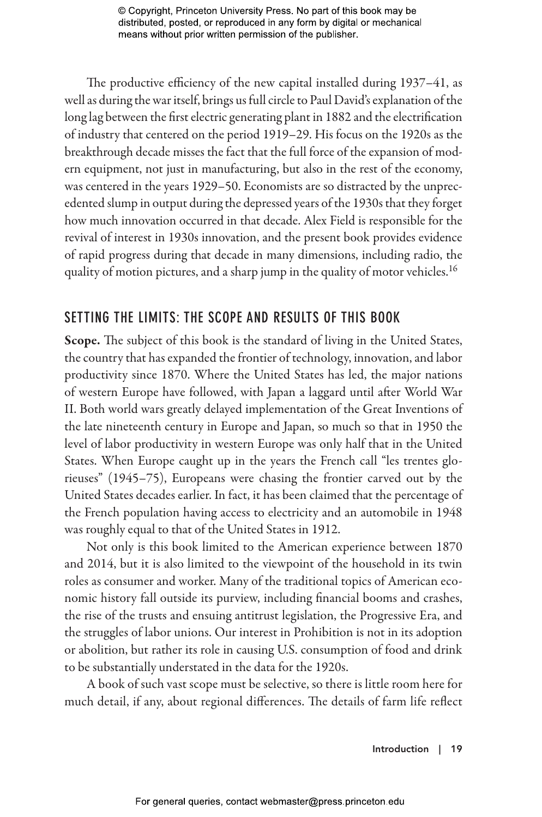The productive efficiency of the new capital installed during 1937–41, as well as during the war itself, brings us full circle to Paul David's explanation of the long lag between the first electric generating plant in 1882 and the electrification of industry that centered on the period 1919–29. His focus on the 1920s as the breakthrough decade misses the fact that the full force of the expansion of modern equipment, not just in manufacturing, but also in the rest of the economy, was centered in the years 1929–50. Economists are so distracted by the unprecedented slump in output during the depressed years of the 1930s that they forget how much innovation occurred in that decade. Alex Field is responsible for the revival of interest in 1930s innovation, and the present book provides evidence of rapid progress during that decade in many dimensions, including radio, the quality of motion pictures, and a sharp jump in the quality of motor vehicles.<sup>16</sup>

## SETTING THE LIMITS: THE SCOPE AND RESULTS OF THIS BOOK

Scope. The subject of this book is the standard of living in the United States, the country that has expanded the frontier of technology, innovation, and labor productivity since 1870. Where the United States has led, the major nations of western Europe have followed, with Japan a laggard until after World War II. Both world wars greatly delayed implementation of the Great Inventions of the late nineteenth century in Europe and Japan, so much so that in 1950 the level of labor productivity in western Europe was only half that in the United States. When Europe caught up in the years the French call "les trentes glorieuses" (1945–75), Europeans were chasing the frontier carved out by the United States decades earlier. In fact, it has been claimed that the percentage of the French population having access to electricity and an automobile in 1948 was roughly equal to that of the United States in 1912.

Not only is this book limited to the American experience between 1870 and 2014, but it is also limited to the viewpoint of the household in its twin roles as consumer and worker. Many of the traditional topics of American economic history fall outside its purview, including financial booms and crashes, the rise of the trusts and ensuing antitrust legislation, the Progressive Era, and the struggles of labor unions. Our interest in Prohibition is not in its adoption or abolition, but rather its role in causing U.S. consumption of food and drink to be substantially understated in the data for the 1920s.

A book of such vast scope must be selective, so there is little room here for much detail, if any, about regional differences. The details of farm life reflect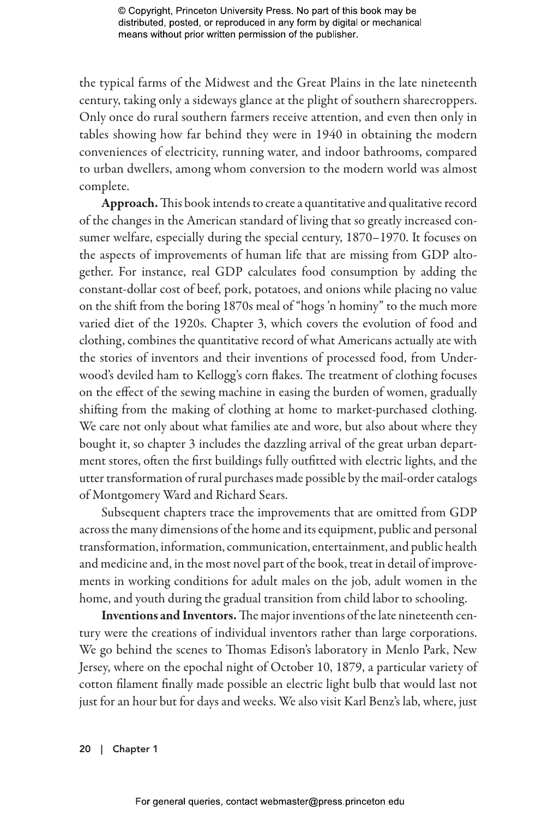the typical farms of the Midwest and the Great Plains in the late nineteenth century, taking only a sideways glance at the plight of southern sharecroppers. Only once do rural southern farmers receive attention, and even then only in tables showing how far behind they were in 1940 in obtaining the modern conveniences of electricity, running water, and indoor bathrooms, compared to urban dwellers, among whom conversion to the modern world was almost complete.

Approach. This book intends to create a quantitative and qualitative record of the changes in the American standard of living that so greatly increased consumer welfare, especially during the special century, 1870–1970. It focuses on the aspects of improvements of human life that are missing from GDP altogether. For instance, real GDP calculates food consumption by adding the constant-dollar cost of beef, pork, potatoes, and onions while placing no value on the shift from the boring 1870s meal of "hogs 'n hominy" to the much more varied diet of the 1920s. Chapter 3, which covers the evolution of food and clothing, combines the quantitative record of what Americans actually ate with the stories of inventors and their inventions of processed food, from Underwood's deviled ham to Kellogg's corn flakes. The treatment of clothing focuses on the effect of the sewing machine in easing the burden of women, gradually shifting from the making of clothing at home to market-purchased clothing. We care not only about what families ate and wore, but also about where they bought it, so chapter 3 includes the dazzling arrival of the great urban department stores, often the first buildings fully outfitted with electric lights, and the utter transformation of rural purchases made possible by the mail-order catalogs of Montgomery Ward and Richard Sears.

Subsequent chapters trace the improvements that are omitted from GDP across the many dimensions of the home and its equipment, public and personal transformation, information, communication, entertainment, and public health and medicine and, in the most novel part of the book, treat in detail of improvements in working conditions for adult males on the job, adult women in the home, and youth during the gradual transition from child labor to schooling.

Inventions and Inventors. The major inventions of the late nineteenth century were the creations of individual inventors rather than large corporations. We go behind the scenes to Thomas Edison's laboratory in Menlo Park, New Jersey, where on the epochal night of October 10, 1879, a particular variety of cotton filament finally made possible an electric light bulb that would last not just for an hour but for days and weeks. We also visit Karl Benz's lab, where, just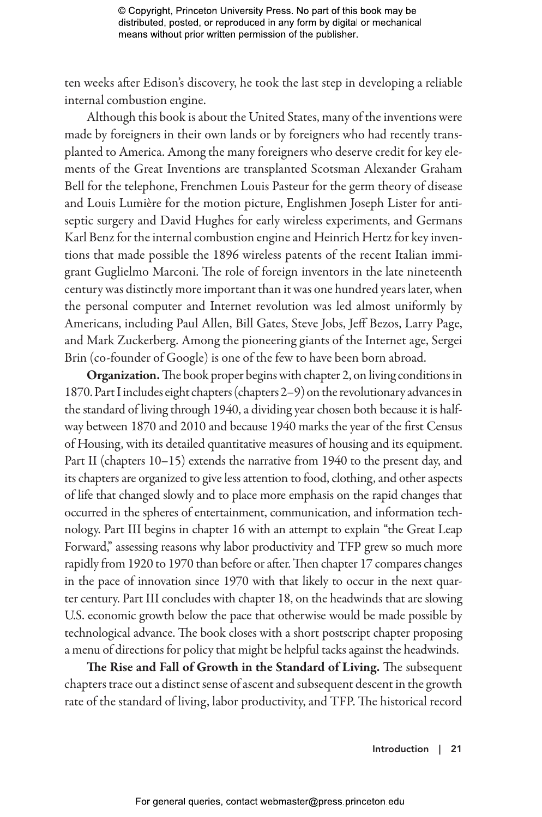ten weeks after Edison's discovery, he took the last step in developing a reliable internal combustion engine.

Although this book is about the United States, many of the inventions were made by foreigners in their own lands or by foreigners who had recently transplanted to America. Among the many foreigners who deserve credit for key elements of the Great Inventions are transplanted Scotsman Alexander Graham Bell for the telephone, Frenchmen Louis Pasteur for the germ theory of disease and Louis Lumière for the motion picture, Englishmen Joseph Lister for antiseptic surgery and David Hughes for early wireless experiments, and Germans Karl Benz for the internal combustion engine and Heinrich Hertz for key inventions that made possible the 1896 wireless patents of the recent Italian immigrant Guglielmo Marconi. The role of foreign inventors in the late nineteenth century was distinctly more important than it was one hundred years later, when the personal computer and Internet revolution was led almost uniformly by Americans, including Paul Allen, Bill Gates, Steve Jobs, Jeff Bezos, Larry Page, and Mark Zuckerberg. Among the pioneering giants of the Internet age, Sergei Brin (co-founder of Google) is one of the few to have been born abroad.

Organization. The book proper begins with chapter 2, on living conditions in 1870. Part I includes eight chapters (chapters 2–9) on the revolutionary advances in the standard of living through 1940, a dividing year chosen both because it is halfway between 1870 and 2010 and because 1940 marks the year of the first Census of Housing, with its detailed quantitative measures of housing and its equipment. Part II (chapters 10–15) extends the narrative from 1940 to the present day, and its chapters are organized to give less attention to food, clothing, and other aspects of life that changed slowly and to place more emphasis on the rapid changes that occurred in the spheres of entertainment, communication, and information technology. Part III begins in chapter 16 with an attempt to explain "the Great Leap Forward," assessing reasons why labor productivity and TFP grew so much more rapidly from 1920 to 1970 than before or after. Then chapter 17 compares changes in the pace of innovation since 1970 with that likely to occur in the next quarter century. Part III concludes with chapter 18, on the headwinds that are slowing U.S. economic growth below the pace that otherwise would be made possible by technological advance. The book closes with a short postscript chapter proposing a menu of directions for policy that might be helpful tacks against the headwinds.

The Rise and Fall of Growth in the Standard of Living. The subsequent chapters trace out a distinct sense of ascent and subsequent descent in the growth rate of the standard of living, labor productivity, and TFP. The historical record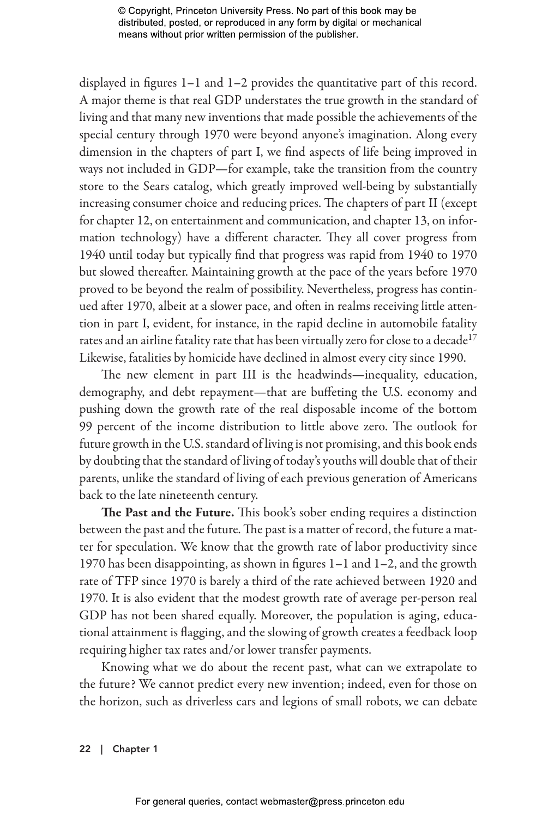displayed in figures 1–1 and 1–2 provides the quantitative part of this record. A major theme is that real GDP understates the true growth in the standard of living and that many new inventions that made possible the achievements of the special century through 1970 were beyond anyone's imagination. Along every dimension in the chapters of part I, we find aspects of life being improved in ways not included in GDP—for example, take the transition from the country store to the Sears catalog, which greatly improved well-being by substantially increasing consumer choice and reducing prices. The chapters of part II (except for chapter 12, on entertainment and communication, and chapter 13, on information technology) have a different character. They all cover progress from 1940 until today but typically find that progress was rapid from 1940 to 1970 but slowed thereafter. Maintaining growth at the pace of the years before 1970 proved to be beyond the realm of possibility. Nevertheless, progress has continued after 1970, albeit at a slower pace, and often in realms receiving little attention in part I, evident, for instance, in the rapid decline in automobile fatality rates and an airline fatality rate that has been virtually zero for close to a decade<sup>17</sup> Likewise, fatalities by homicide have declined in almost every city since 1990.

The new element in part III is the headwinds—inequality, education, demography, and debt repayment—that are buffeting the U.S. economy and pushing down the growth rate of the real disposable income of the bottom 99 percent of the income distribution to little above zero. The outlook for future growth in the U.S. standard of living is not promising, and this book ends by doubting that the standard of living of today's youths will double that of their parents, unlike the standard of living of each previous generation of Americans back to the late nineteenth century.

The Past and the Future. This book's sober ending requires a distinction between the past and the future. The past is a matter of record, the future a matter for speculation. We know that the growth rate of labor productivity since 1970 has been disappointing, as shown in figures 1–1 and 1–2, and the growth rate of TFP since 1970 is barely a third of the rate achieved between 1920 and 1970. It is also evident that the modest growth rate of average per-person real GDP has not been shared equally. Moreover, the population is aging, educational attainment is flagging, and the slowing of growth creates a feedback loop requiring higher tax rates and/or lower transfer payments.

Knowing what we do about the recent past, what can we extrapolate to the future? We cannot predict every new invention; indeed, even for those on the horizon, such as driverless cars and legions of small robots, we can debate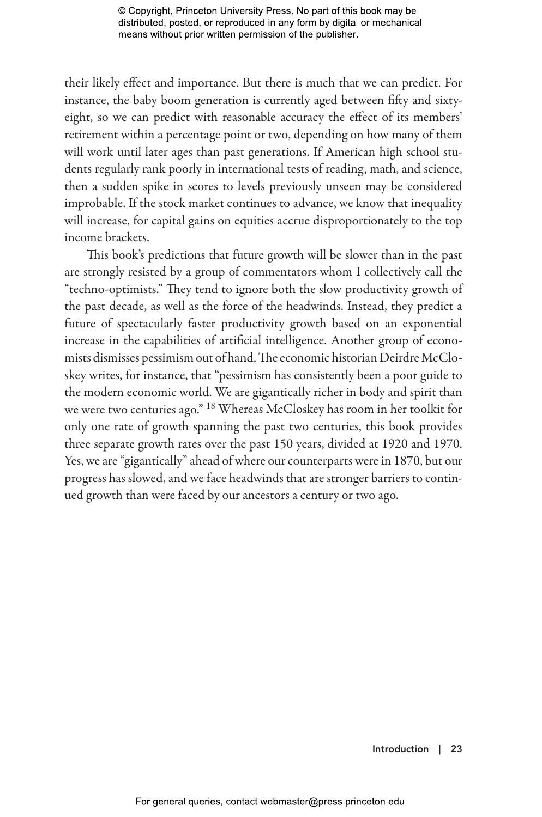their likely effect and importance. But there is much that we can predict. For instance, the baby boom generation is currently aged between fifty and sixtyeight, so we can predict with reasonable accuracy the effect of its members' retirement within a percentage point or two, depending on how many of them will work until later ages than past generations. If American high school students regularly rank poorly in international tests of reading, math, and science, then a sudden spike in scores to levels previously unseen may be considered improbable. If the stock market continues to advance, we know that inequality will increase, for capital gains on equities accrue disproportionately to the top income brackets.

This book's predictions that future growth will be slower than in the past are strongly resisted by a group of commentators whom I collectively call the "techno-optimists." They tend to ignore both the slow productivity growth of the past decade, as well as the force of the headwinds. Instead, they predict a future of spectacularly faster productivity growth based on an exponential increase in the capabilities of artificial intelligence. Another group of economists dismisses pessimism out of hand. The economic historian Deirdre McCloskey writes, for instance, that "pessimism has consistently been a poor guide to the modern economic world. We are gigantically richer in body and spirit than we were two centuries ago." 18 Whereas McCloskey has room in her toolkit for only one rate of growth spanning the past two centuries, this book provides three separate growth rates over the past 150 years, divided at 1920 and 1970. Yes, we are "gigantically" ahead of where our counterparts were in 1870, but our progress has slowed, and we face headwinds that are stronger barriers to continued growth than were faced by our ancestors a century or two ago.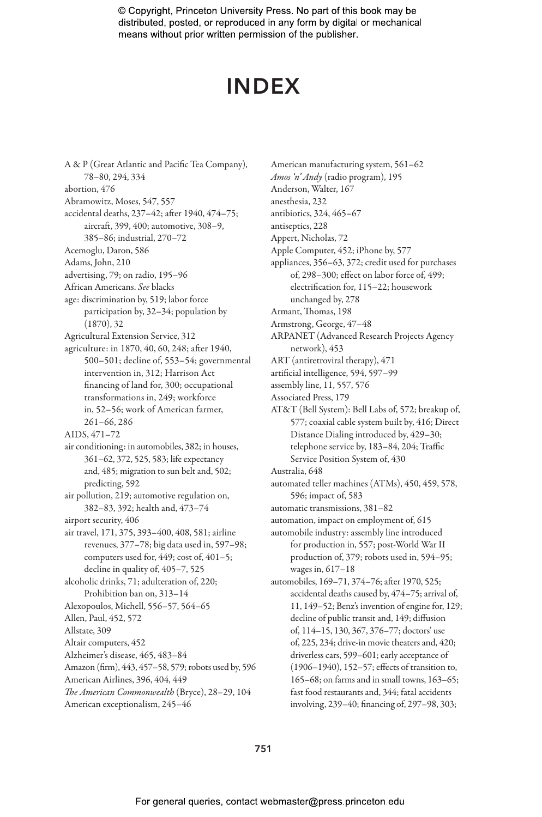# INDEX

A & P (Great Atlantic and Pacific Tea Company), 78–80, 294, 334 abortion, 476 Abramowitz, Moses, 547, 557 accidental deaths, 237–42; after 1940, 474–75; aircraft, 399, 400; automotive, 308–9, 385–86; industrial, 270–72 Acemoglu, Daron, 586 Adams, John, 210 advertising, 79; on radio, 195–96 African Americans. *See* blacks age: discrimination by, 519; labor force participation by, 32–34; population by (1870), 32 Agricultural Extension Service, 312 agriculture: in 1870, 40, 60, 248; after 1940, 500–501; decline of, 553–54; governmental intervention in, 312; Harrison Act financing of land for, 300; occupational transformations in, 249; workforce in, 52–56; work of American farmer, 261–66, 286 AIDS, 471–72 air conditioning: in automobiles, 382; in houses, 361–62, 372, 525, 583; life expectancy and, 485; migration to sun belt and, 502; predicting, 592 air pollution, 219; automotive regulation on, 382–83, 392; health and, 473–74 airport security, 406 air travel, 171, 375, 393–400, 408, 581; airline revenues, 377–78; big data used in, 597–98; computers used for, 449; cost of, 401–5; decline in quality of, 405–7, 525 alcoholic drinks, 71; adulteration of, 220; Prohibition ban on, 313–14 Alexopoulos, Michell, 556–57, 564–65 Allen, Paul, 452, 572 Allstate, 309 Altair computers, 452 Alzheimer's disease, 465, 483–84 Amazon (firm), 443, 457–58, 579; robots used by, 596 American Airlines, 396, 404, 449 *The American Commonwealth* (Bryce), 28–29, 104 American exceptionalism, 245–46

American manufacturing system, 561–62 *Amos 'n' Andy* (radio program), 195 Anderson, Walter, 167 anesthesia, 232 antibiotics, 324, 465–67 antiseptics, 228 Appert, Nicholas, 72 Apple Computer, 452; iPhone by, 577 appliances, 356–63, 372; credit used for purchases of, 298–300; effect on labor force of, 499; electrification for, 115–22; housework unchanged by, 278 Armant, Thomas, 198 Armstrong, George, 47–48 ARPANET (Advanced Research Projects Agency network), 453 ART (antiretroviral therapy), 471 artificial intelligence, 594, 597–99 assembly line, 11, 557, 576 Associated Press, 179 AT&T (Bell System): Bell Labs of, 572; breakup of, 577; coaxial cable system built by, 416; Direct Distance Dialing introduced by, 429–30; telephone service by, 183–84, 204; Traffic Service Position System of, 430 Australia, 648 automated teller machines (ATMs), 450, 459, 578, 596; impact of, 583 automatic transmissions, 381–82 automation, impact on employment of, 615 automobile industry: assembly line introduced for production in, 557; post-World War II production of, 379; robots used in, 594–95; wages in, 617–18 automobiles, 169–71, 374–76; after 1970, 525; accidental deaths caused by, 474–75; arrival of, 11, 149–52; Benz's invention of engine for, 129; decline of public transit and, 149; diffusion of, 114–15, 130, 367, 376–77; doctors' use of, 225, 234; drive-in movie theaters and, 420; driverless cars, 599–601; early acceptance of (1906–1940), 152–57; effects of transition to, 165–68; on farms and in small towns, 163–65; fast food restaurants and, 344; fatal accidents involving, 239–40; financing of, 297–98, 303;

751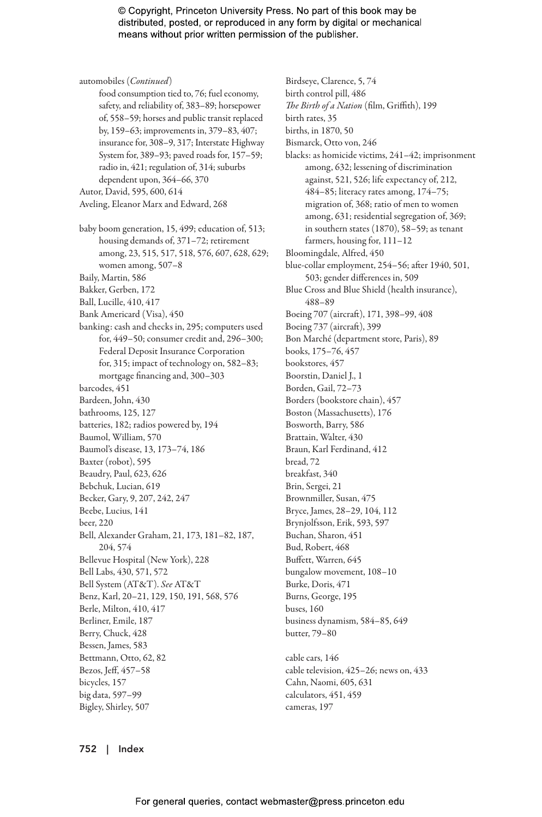food consumption tied to, 76; fuel economy, safety, and reliability of, 383–89; horsepower of, 558–59; horses and public transit replaced by, 159–63; improvements in, 379–83, 407; insurance for, 308–9, 317; Interstate Highway System for, 389–93; paved roads for, 157–59; radio in, 421; regulation of, 314; suburbs dependent upon, 364–66, 370 Autor, David, 595, 600, 614 Aveling, Eleanor Marx and Edward, 268 baby boom generation, 15, 499; education of, 513; housing demands of, 371–72; retirement among, 23, 515, 517, 518, 576, 607, 628, 629; women among, 507–8 Baily, Martin, 586 Bakker, Gerben, 172 Ball, Lucille, 410, 417 Bank Americard (Visa), 450 banking: cash and checks in, 295; computers used for, 449–50; consumer credit and, 296–300; Federal Deposit Insurance Corporation for, 315; impact of technology on, 582–83; mortgage financing and, 300–303 barcodes, 451 Bardeen, John, 430 bathrooms, 125, 127 batteries, 182; radios powered by, 194 Baumol, William, 570 Baumol's disease, 13, 173–74, 186 Baxter (robot), 595 Beaudry, Paul, 623, 626 Bebchuk, Lucian, 619 Becker, Gary, 9, 207, 242, 247 Beebe, Lucius, 141 beer, 220 Bell, Alexander Graham, 21, 173, 181–82, 187, 204, 574 Bellevue Hospital (New York), 228 Bell Labs, 430, 571, 572 Bell System (AT&T). *See* AT&T Benz, Karl, 20–21, 129, 150, 191, 568, 576 Berle, Milton, 410, 417 Berliner, Emile, 187 Berry, Chuck, 428 Bessen, James, 583 Bettmann, Otto, 62, 82 Bezos, Jeff, 457–58 bicycles, 157 big data, 597–99 Bigley, Shirley, 507 automobiles (*Continued*)

Birdseye, Clarence, 5, 74 birth control pill, 486 *The Birth of a Nation* (film, Griffith), 199 birth rates, 35 births, in 1870, 50 Bismarck, Otto von, 246 blacks: as homicide victims, 241–42; imprisonment among, 632; lessening of discrimination against, 521, 526; life expectancy of, 212, 484–85; literacy rates among, 174–75; migration of, 368; ratio of men to women among, 631; residential segregation of, 369; in southern states (1870), 58–59; as tenant farmers, housing for, 111–12 Bloomingdale, Alfred, 450 blue-collar employment, 254–56; after 1940, 501, 503; gender differences in, 509 Blue Cross and Blue Shield (health insurance), 488–89 Boeing 707 (aircraft), 171, 398–99, 408 Boeing 737 (aircraft), 399 Bon Marché (department store, Paris), 89 books, 175–76, 457 bookstores, 457 Boorstin, Daniel J., 1 Borden, Gail, 72–73 Borders (bookstore chain), 457 Boston (Massachusetts), 176 Bosworth, Barry, 586 Brattain, Walter, 430 Braun, Karl Ferdinand, 412 bread, 72 breakfast, 340 Brin, Sergei, 21 Brownmiller, Susan, 475 Bryce, James, 28–29, 104, 112 Brynjolfsson, Erik, 593, 597 Buchan, Sharon, 451 Bud, Robert, 468 Buffett, Warren, 645 bungalow movement, 108–10 Burke, Doris, 471 Burns, George, 195 buses, 160 business dynamism, 584–85, 649 butter, 79–80 cable cars, 146 cable television, 425–26; news on, 433 Cahn, Naomi, 605, 631 calculators, 451, 459 cameras, 197

#### 752 | Index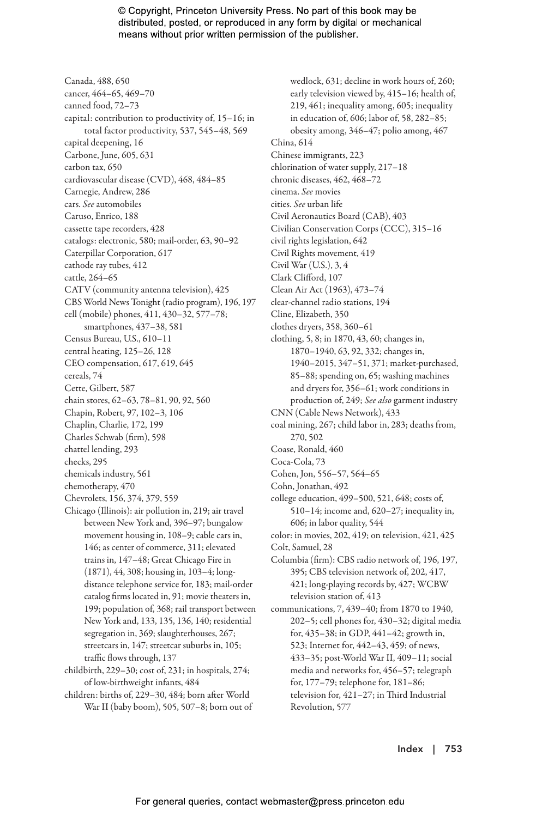Canada, 488, 650 cancer, 464–65, 469–70 canned food, 72–73 capital: contribution to productivity of, 15–16; in total factor productivity, 537, 545–48, 569 capital deepening, 16 Carbone, June, 605, 631 carbon tax, 650 cardiovascular disease (CVD), 468, 484–85 Carnegie, Andrew, 286 cars. *See* automobiles Caruso, Enrico, 188 cassette tape recorders, 428 catalogs: electronic, 580; mail-order, 63, 90–92 Caterpillar Corporation, 617 cathode ray tubes, 412 cattle, 264–65 CATV (community antenna television), 425 CBS World News Tonight (radio program), 196, 197 cell (mobile) phones, 411, 430–32, 577–78; smartphones, 437–38, 581 Census Bureau, U.S., 610–11 central heating, 125–26, 128 CEO compensation, 617, 619, 645 cereals, 74 Cette, Gilbert, 587 chain stores, 62–63, 78–81, 90, 92, 560 Chapin, Robert, 97, 102–3, 106 Chaplin, Charlie, 172, 199 Charles Schwab (firm), 598 chattel lending, 293 checks, 295 chemicals industry, 561 chemotherapy, 470 Chevrolets, 156, 374, 379, 559 Chicago (Illinois): air pollution in, 219; air travel between New York and, 396–97; bungalow movement housing in, 108–9; cable cars in, 146; as center of commerce, 311; elevated trains in, 147–48; Great Chicago Fire in (1871), 44, 308; housing in, 103–4; longdistance telephone service for, 183; mail-order catalog firms located in, 91; movie theaters in, 199; population of, 368; rail transport between New York and, 133, 135, 136, 140; residential segregation in, 369; slaughterhouses, 267; streetcars in, 147; streetcar suburbs in, 105; traffic flows through, 137

- childbirth, 229–30; cost of, 231; in hospitals, 274; of low-birthweight infants, 484
- children: births of, 229–30, 484; born after World War II (baby boom), 505, 507–8; born out of

wedlock, 631; decline in work hours of, 260; early television viewed by, 415–16; health of, 219, 461; inequality among, 605; inequality in education of, 606; labor of, 58, 282–85; obesity among, 346–47; polio among, 467 China, 614 Chinese immigrants, 223 chlorination of water supply, 217–18 chronic diseases, 462, 468–72 cinema. *See* movies cities. *See* urban life Civil Aeronautics Board (CAB), 403 Civilian Conservation Corps (CCC), 315–16 civil rights legislation, 642 Civil Rights movement, 419 Civil War (U.S.), 3, 4 Clark Clifford, 107 Clean Air Act (1963), 473–74 clear-channel radio stations, 194 Cline, Elizabeth, 350 clothes dryers, 358, 360–61 clothing, 5, 8; in 1870, 43, 60; changes in, 1870–1940, 63, 92, 332; changes in, 1940–2015, 347–51, 371; market-purchased, 85–88; spending on, 65; washing machines and dryers for, 356–61; work conditions in production of, 249; *See also* garment industry CNN (Cable News Network), 433 coal mining, 267; child labor in, 283; deaths from, 270, 502 Coase, Ronald, 460 Coca-Cola, 73 Cohen, Jon, 556–57, 564–65 Cohn, Jonathan, 492 college education, 499–500, 521, 648; costs of, 510–14; income and, 620–27; inequality in, 606; in labor quality, 544 color: in movies, 202, 419; on television, 421, 425 Colt, Samuel, 28 Columbia (firm): CBS radio network of, 196, 197, 395; CBS television network of, 202, 417, 421; long-playing records by, 427; WCBW television station of, 413 communications, 7, 439–40; from 1870 to 1940, 202–5; cell phones for, 430–32; digital media for, 435–38; in GDP, 441–42; growth in, 523; Internet for, 442–43, 459; of news, 433–35; post-World War II, 409–11; social media and networks for, 456–57; telegraph

for, 177–79; telephone for, 181–86; television for, 421–27; in Third Industrial Revolution, 577

Index | 753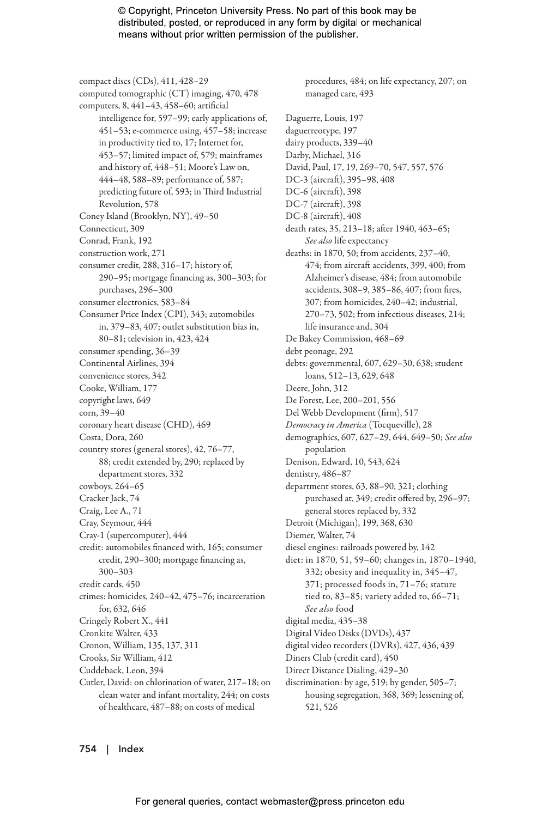compact discs (CDs), 411, 428–29 computed tomographic (CT) imaging, 470, 478 computers, 8, 441–43, 458–60; artificial intelligence for, 597–99; early applications of, 451–53; e-commerce using, 457–58; increase in productivity tied to, 17; Internet for, 453–57; limited impact of, 579; mainframes and history of, 448–51; Moore's Law on, 444–48, 588–89; performance of, 587; predicting future of, 593; in Third Industrial Revolution, 578 Coney Island (Brooklyn, NY), 49–50 Connecticut, 309 Conrad, Frank, 192 construction work, 271 consumer credit, 288, 316–17; history of, 290–95; mortgage financing as, 300–303; for purchases, 296–300 consumer electronics, 583–84 Consumer Price Index (CPI), 343; automobiles in, 379–83, 407; outlet substitution bias in, 80–81; television in, 423, 424 consumer spending, 36–39 Continental Airlines, 394 convenience stores, 342 Cooke, William, 177 copyright laws, 649 corn, 39–40 coronary heart disease (CHD), 469 Costa, Dora, 260 country stores (general stores), 42, 76–77, 88; credit extended by, 290; replaced by department stores, 332 cowboys, 264–65 Cracker Jack, 74 Craig, Lee A., 71 Cray, Seymour, 444 Cray-1 (supercomputer), 444 credit: automobiles financed with, 165; consumer credit, 290–300; mortgage financing as, 300–303 credit cards, 450 crimes: homicides, 240–42, 475–76; incarceration for, 632, 646 Cringely Robert X., 441 Cronkite Walter, 433 Cronon, William, 135, 137, 311 Crooks, Sir William, 412 Cuddeback, Leon, 394 Cutler, David: on chlorination of water, 217–18; on clean water and infant mortality, 244; on costs of healthcare, 487–88; on costs of medical

procedures, 484; on life expectancy, 207; on managed care, 493 Daguerre, Louis, 197 daguerreotype, 197 dairy products, 339–40 Darby, Michael, 316 David, Paul, 17, 19, 269–70, 547, 557, 576 DC-3 (aircraft), 395–98, 408 DC-6 (aircraft), 398 DC-7 (aircraft), 398 DC-8 (aircraft), 408 death rates, 35, 213–18; after 1940, 463–65; *See also* life expectancy deaths: in 1870, 50; from accidents, 237–40, 474; from aircraft accidents, 399, 400; from Alzheimer's disease, 484; from automobile accidents, 308–9, 385–86, 407; from fires, 307; from homicides, 240–42; industrial, 270–73, 502; from infectious diseases, 214; life insurance and, 304 De Bakey Commission, 468–69 debt peonage, 292 debts: governmental, 607, 629–30, 638; student loans, 512–13, 629, 648 Deere, John, 312 De Forest, Lee, 200–201, 556 Del Webb Development (firm), 517 *Democracy in America* (Tocqueville), 28 demographics, 607, 627–29, 644, 649–50; *See also* population Denison, Edward, 10, 543, 624 dentistry, 486–87 department stores, 63, 88–90, 321; clothing purchased at, 349; credit offered by, 296–97; general stores replaced by, 332 Detroit (Michigan), 199, 368, 630 Diemer, Walter, 74 diesel engines: railroads powered by, 142 diet: in 1870, 51, 59–60; changes in, 1870–1940, 332; obesity and inequality in, 345–47, 371; processed foods in, 71–76; stature tied to, 83–85; variety added to, 66–71; *See also* food digital media, 435–38 Digital Video Disks (DVDs), 437 digital video recorders (DVRs), 427, 436, 439 Diners Club (credit card), 450 Direct Distance Dialing, 429–30 discrimination: by age, 519; by gender, 505–7; housing segregation, 368, 369; lessening of, 521, 526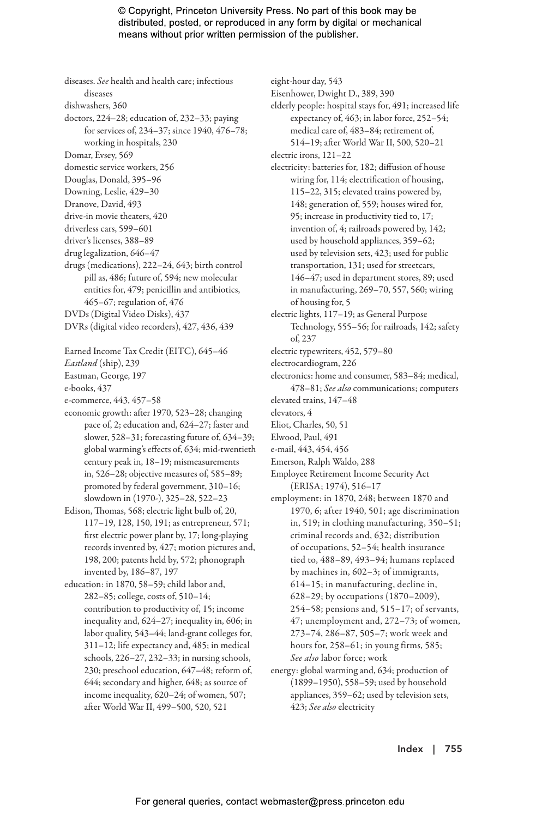eight-hour day, 543

- diseases. *See* health and health care; infectious diseases
- dishwashers, 360
- doctors, 224–28; education of, 232–33; paying for services of, 234–37; since 1940, 476–78; working in hospitals, 230
- Domar, Evsey, 569
- domestic service workers, 256
- Douglas, Donald, 395–96
- Downing, Leslie, 429–30
- Dranove, David, 493
- drive-in movie theaters, 420
- driverless cars, 599–601
- driver's licenses, 388–89
- drug legalization, 646–47
- drugs (medications), 222–24, 643; birth control pill as, 486; future of, 594; new molecular entities for, 479; penicillin and antibiotics, 465–67; regulation of, 476 DVDs (Digital Video Disks), 437
- DVRs (digital video recorders), 427, 436, 439
- Earned Income Tax Credit (EITC), 645–46
- *Eastland* (ship), 239
- Eastman, George, 197
- e-books, 437
- e-commerce, 443, 457–58
- economic growth: after 1970, 523–28; changing pace of, 2; education and, 624–27; faster and slower, 528–31; forecasting future of, 634–39; global warming's effects of, 634; mid-twentieth century peak in, 18–19; mismeasurements in, 526–28; objective measures of, 585–89; promoted by federal government, 310–16; slowdown in (1970-), 325–28, 522–23
- Edison, Thomas, 568; electric light bulb of, 20, 117–19, 128, 150, 191; as entrepreneur, 571; first electric power plant by, 17; long-playing records invented by, 427; motion pictures and, 198, 200; patents held by, 572; phonograph invented by, 186–87, 197
- education: in 1870, 58–59; child labor and, 282–85; college, costs of, 510–14; contribution to productivity of, 15; income inequality and, 624–27; inequality in, 606; in labor quality, 543–44; land-grant colleges for, 311–12; life expectancy and, 485; in medical schools, 226–27, 232–33; in nursing schools, 230; preschool education, 647–48; reform of, 644; secondary and higher, 648; as source of income inequality, 620–24; of women, 507; after World War II, 499–500, 520, 521

Eisenhower, Dwight D., 389, 390 elderly people: hospital stays for, 491; increased life expectancy of, 463; in labor force, 252–54; medical care of, 483–84; retirement of, 514–19; after World War II, 500, 520–21 electric irons, 121–22 electricity: batteries for, 182; diffusion of house wiring for, 114; electrification of housing, 115–22, 315; elevated trains powered by, 148; generation of, 559; houses wired for, 95; increase in productivity tied to, 17; invention of, 4; railroads powered by, 142; used by household appliances, 359–62; used by television sets, 423; used for public transportation, 131; used for streetcars, 146–47; used in department stores, 89; used in manufacturing, 269–70, 557, 560; wiring

- of housing for, 5 electric lights, 117–19; as General Purpose Technology, 555–56; for railroads, 142; safety of, 237
- electric typewriters, 452, 579–80
- electrocardiogram, 226
- electronics: home and consumer, 583–84; medical, 478–81; *See also* communications; computers
- elevated trains, 147–48
- elevators, 4
- Eliot, Charles, 50, 51
- Elwood, Paul, 491
- e-mail, 443, 454, 456
- Emerson, Ralph Waldo, 288
- Employee Retirement Income Security Act (ERISA; 1974), 516–17
- employment: in 1870, 248; between 1870 and 1970, 6; after 1940, 501; age discrimination in, 519; in clothing manufacturing, 350–51; criminal records and, 632; distribution of occupations, 52–54; health insurance tied to, 488–89, 493–94; humans replaced by machines in, 602–3; of immigrants, 614–15; in manufacturing, decline in, 628–29; by occupations (1870–2009), 254–58; pensions and, 515–17; of servants, 47; unemployment and, 272–73; of women, 273–74, 286–87, 505–7; work week and hours for, 258–61; in young firms, 585; *See also* labor force; work
- energy: global warming and, 634; production of (1899–1950), 558–59; used by household appliances, 359–62; used by television sets, 423; *See also* electricity

Index | 755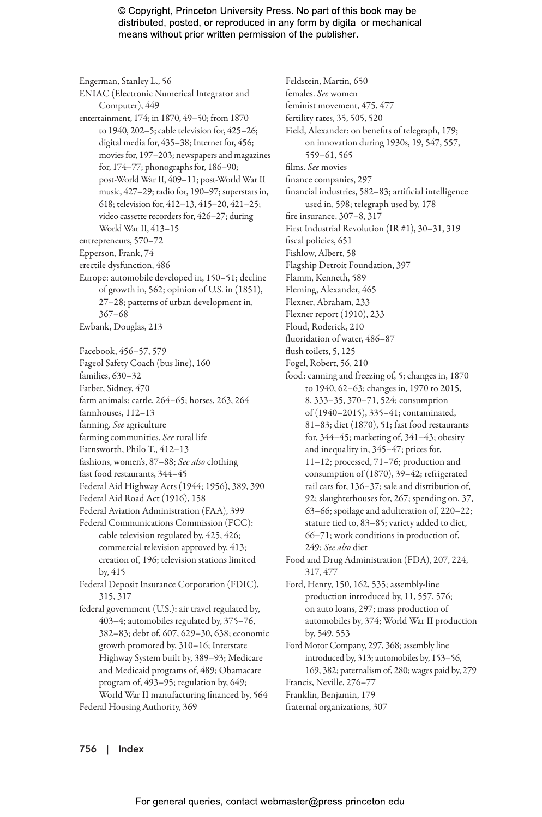ENIAC (Electronic Numerical Integrator and Computer), 449 entertainment, 174; in 1870, 49–50; from 1870 to 1940, 202–5; cable television for, 425–26; digital media for, 435–38; Internet for, 456; movies for, 197–203; newspapers and magazines for, 174–77; phonographs for, 186–90; post-World War II, 409–11; post-World War II music, 427–29; radio for, 190–97; superstars in, 618; television for, 412–13, 415–20, 421–25; video cassette recorders for, 426–27; during World War II, 413–15

entrepreneurs, 570–72

Engerman, Stanley L., 56

- Epperson, Frank, 74
- erectile dysfunction, 486
- Europe: automobile developed in, 150–51; decline of growth in, 562; opinion of U.S. in (1851), 27–28; patterns of urban development in, 367–68
- Ewbank, Douglas, 213
- Facebook, 456–57, 579
- Fageol Safety Coach (bus line), 160
- families, 630–32
- Farber, Sidney, 470
- farm animals: cattle, 264–65; horses, 263, 264
- farmhouses, 112–13
- farming. *See* agriculture
- farming communities. *See* rural life
- Farnsworth, Philo T., 412–13
- fashions, women's, 87–88; *See also* clothing
- fast food restaurants, 344–45
- Federal Aid Highway Acts (1944; 1956), 389, 390
- Federal Aid Road Act (1916), 158
- Federal Aviation Administration (FAA), 399 Federal Communications Commission (FCC): cable television regulated by, 425, 426;
	- commercial television approved by, 413; creation of, 196; television stations limited by, 415
- Federal Deposit Insurance Corporation (FDIC), 315, 317
- federal government (U.S.): air travel regulated by, 403–4; automobiles regulated by, 375–76, 382–83; debt of, 607, 629–30, 638; economic growth promoted by, 310–16; Interstate Highway System built by, 389–93; Medicare and Medicaid programs of, 489; Obamacare program of, 493–95; regulation by, 649; World War II manufacturing financed by, 564

Federal Housing Authority, 369

Feldstein, Martin, 650 females. *See* women feminist movement, 475, 477 fertility rates, 35, 505, 520 Field, Alexander: on benefits of telegraph, 179; on innovation during 1930s, 19, 547, 557, 559–61, 565 films. *See* movies finance companies, 297 financial industries, 582–83; artificial intelligence used in, 598; telegraph used by, 178 fire insurance, 307–8, 317 First Industrial Revolution (IR #1), 30–31, 319 fiscal policies, 651 Fishlow, Albert, 58 Flagship Detroit Foundation, 397 Flamm, Kenneth, 589 Fleming, Alexander, 465 Flexner, Abraham, 233 Flexner report (1910), 233 Floud, Roderick, 210 fluoridation of water, 486–87 flush toilets, 5, 125 Fogel, Robert, 56, 210 food: canning and freezing of, 5; changes in, 1870 to 1940, 62–63; changes in, 1970 to 2015, 8, 333–35, 370–71, 524; consumption of (1940–2015), 335–41; contaminated, 81–83; diet (1870), 51; fast food restaurants for, 344–45; marketing of, 341–43; obesity and inequality in, 345–47; prices for, 11–12; processed, 71–76; production and consumption of (1870), 39–42; refrigerated rail cars for, 136–37; sale and distribution of, 92; slaughterhouses for, 267; spending on, 37, 63–66; spoilage and adulteration of, 220–22; stature tied to, 83–85; variety added to diet, 66–71; work conditions in production of, 249; *See also* diet Food and Drug Administration (FDA), 207, 224, 317, 477 Ford, Henry, 150, 162, 535; assembly-line production introduced by, 11, 557, 576; on auto loans, 297; mass production of automobiles by, 374; World War II production by, 549, 553

Ford Motor Company, 297, 368; assembly line introduced by, 313; automobiles by, 153–56, 169, 382; paternalism of, 280; wages paid by, 279 Francis, Neville, 276–77

- Franklin, Benjamin, 179
- 
- fraternal organizations, 307

#### 756 | Index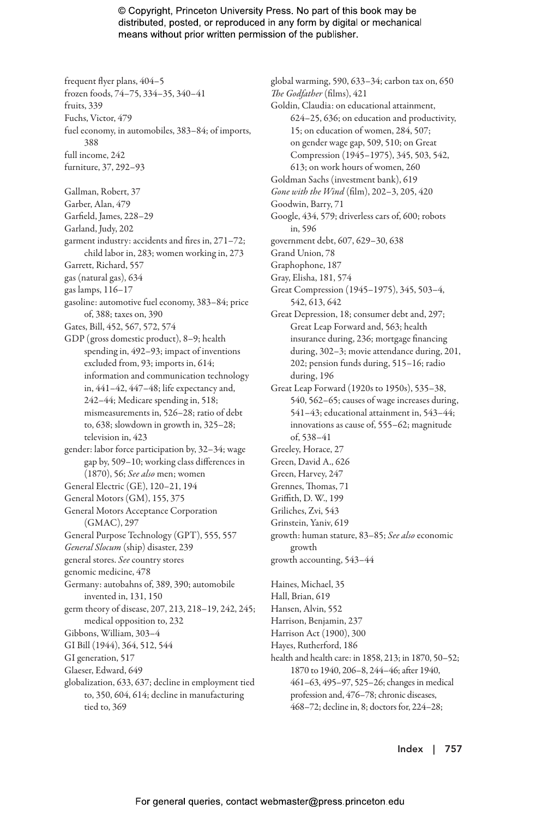frequent flyer plans, 404–5 frozen foods, 74–75, 334–35, 340–41 fruits, 339 Fuchs, Victor, 479 fuel economy, in automobiles, 383–84; of imports, 388 full income, 242 furniture, 37, 292–93 Gallman, Robert, 37 Garber, Alan, 479 Garfield, James, 228–29 Garland, Judy, 202 garment industry: accidents and fires in, 271–72; child labor in, 283; women working in, 273 Garrett, Richard, 557 gas (natural gas), 634 gas lamps, 116–17 gasoline: automotive fuel economy, 383–84; price of, 388; taxes on, 390 Gates, Bill, 452, 567, 572, 574 GDP (gross domestic product), 8–9; health spending in, 492–93; impact of inventions excluded from, 93; imports in, 614; information and communication technology in, 441–42, 447–48; life expectancy and, 242–44; Medicare spending in, 518; mismeasurements in, 526–28; ratio of debt to, 638; slowdown in growth in, 325–28; television in, 423 gender: labor force participation by, 32–34; wage gap by, 509–10; working class differences in (1870), 56; *See also* men; women General Electric (GE), 120–21, 194 General Motors (GM), 155, 375 General Motors Acceptance Corporation (GMAC), 297 General Purpose Technology (GPT), 555, 557 *General Slocum* (ship) disaster, 239 general stores. *See* country stores genomic medicine, 478 Germany: autobahns of, 389, 390; automobile invented in, 131, 150 germ theory of disease, 207, 213, 218–19, 242, 245; medical opposition to, 232 Gibbons, William, 303–4 GI Bill (1944), 364, 512, 544 GI generation, 517 Glaeser, Edward, 649 globalization, 633, 637; decline in employment tied to, 350, 604, 614; decline in manufacturing tied to, 369

global warming, 590, 633–34; carbon tax on, 650 *The Godfather* (films), 421 Goldin, Claudia: on educational attainment, 624–25, 636; on education and productivity, 15; on education of women, 284, 507; on gender wage gap, 509, 510; on Great Compression (1945–1975), 345, 503, 542, 613; on work hours of women, 260 Goldman Sachs (investment bank), 619 *Gone with the Wind* (film), 202–3, 205, 420 Goodwin, Barry, 71 Google, 434, 579; driverless cars of, 600; robots in, 596 government debt, 607, 629–30, 638 Grand Union, 78 Graphophone, 187 Gray, Elisha, 181, 574 Great Compression (1945–1975), 345, 503–4, 542, 613, 642 Great Depression, 18; consumer debt and, 297; Great Leap Forward and, 563; health insurance during, 236; mortgage financing during, 302–3; movie attendance during, 201, 202; pension funds during, 515–16; radio during, 196 Great Leap Forward (1920s to 1950s), 535–38, 540, 562–65; causes of wage increases during, 541–43; educational attainment in, 543–44; innovations as cause of, 555–62; magnitude of, 538–41 Greeley, Horace, 27 Green, David A., 626 Green, Harvey, 247 Grennes, Thomas, 71 Griffith, D. W., 199 Griliches, Zvi, 543 Grinstein, Yaniv, 619 growth: human stature, 83–85; *See also* economic growth growth accounting, 543–44 Haines, Michael, 35 Hall, Brian, 619 Hansen, Alvin, 552 Harrison, Benjamin, 237 Harrison Act (1900), 300 Hayes, Rutherford, 186 health and health care: in 1858, 213; in 1870, 50–52; 1870 to 1940, 206–8, 244–46; after 1940, 461–63, 495–97, 525–26; changes in medical profession and, 476–78; chronic diseases,

468–72; decline in, 8; doctors for, 224–28;

Index | 757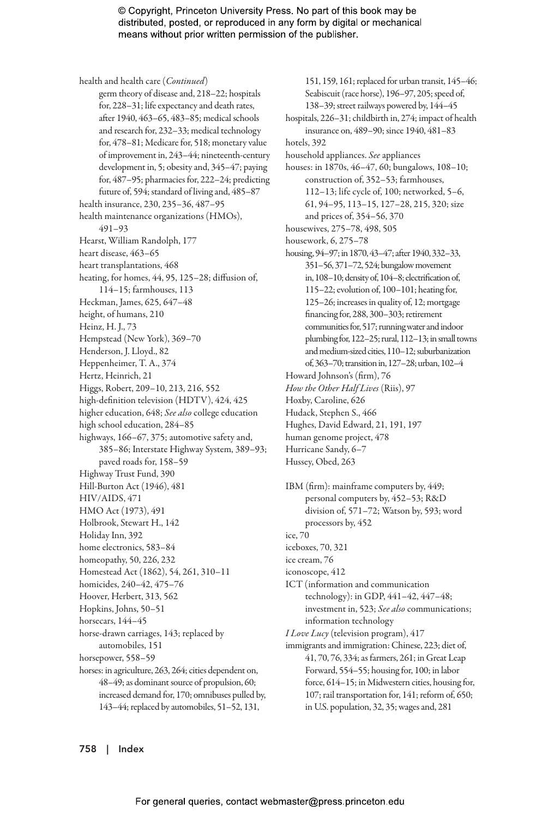germ theory of disease and, 218–22; hospitals for, 228–31; life expectancy and death rates, after 1940, 463–65, 483–85; medical schools and research for, 232–33; medical technology for, 478–81; Medicare for, 518; monetary value of improvement in, 243–44; nineteenth-century development in, 5; obesity and, 345–47; paying for, 487–95; pharmacies for, 222–24; predicting future of, 594; standard of living and, 485–87 health insurance, 230, 235–36, 487–95 health maintenance organizations (HMOs), 491–93 Hearst, William Randolph, 177 heart disease, 463–65 heart transplantations, 468 heating, for homes, 44, 95, 125–28; diffusion of, 114–15; farmhouses, 113 Heckman, James, 625, 647–48 height, of humans, 210 Heinz, H. J., 73 Hempstead (New York), 369–70 Henderson, J. Lloyd., 82 Heppenheimer, T. A., 374 Hertz, Heinrich, 21 Higgs, Robert, 209–10, 213, 216, 552 high-definition television (HDTV), 424, 425 higher education, 648; *See also* college education high school education, 284–85 highways, 166–67, 375; automotive safety and, 385–86; Interstate Highway System, 389–93; paved roads for, 158–59 Highway Trust Fund, 390 Hill-Burton Act (1946), 481 HIV/AIDS, 471 HMO Act (1973), 491 Holbrook, Stewart H., 142 Holiday Inn, 392 home electronics, 583–84 homeopathy, 50, 226, 232 Homestead Act (1862), 54, 261, 310–11 homicides, 240–42, 475–76 Hoover, Herbert, 313, 562 Hopkins, Johns, 50–51 horsecars, 144–45 horse-drawn carriages, 143; replaced by automobiles, 151 horsepower, 558–59 horses: in agriculture, 263, 264; cities dependent on, 48–49; as dominant source of propulsion, 60; increased demand for, 170; omnibuses pulled by, health and health care (*Continued*)

143–44; replaced by automobiles, 51–52, 131,

151, 159, 161; replaced for urban transit, 145–46; Seabiscuit (race horse), 196–97, 205; speed of, 138–39; street railways powered by, 144–45 hospitals, 226–31; childbirth in, 274; impact of health insurance on, 489–90; since 1940, 481–83 hotels, 392 household appliances. *See* appliances houses: in 1870s, 46–47, 60; bungalows, 108–10; construction of, 352–53; farmhouses, 112–13; life cycle of, 100; networked, 5–6, 61, 94–95, 113–15, 127–28, 215, 320; size and prices of, 354–56, 370 housewives, 275–78, 498, 505 housework, 6, 275–78 housing, 94–97; in 1870, 43–47; after 1940, 332–33, 351–56, 371–72, 524; bungalow movement in, 108–10; density of, 104–8; electrification of, 115–22; evolution of, 100–101; heating for, 125–26; increases in quality of, 12; mortgage financing for, 288, 300–303; retirement communities for, 517; running water and indoor plumbing for, 122–25; rural, 112–13; in small towns and medium-sized cities, 110–12; suburbanization of, 363–70; transition in, 127–28; urban, 102–4 Howard Johnson's (firm), 76 *How the Other Half Lives* (Riis), 97 Hoxby, Caroline, 626 Hudack, Stephen S., 466 Hughes, David Edward, 21, 191, 197 human genome project, 478 Hurricane Sandy, 6–7 Hussey, Obed, 263

IBM (firm): mainframe computers by, 449; personal computers by, 452–53; R&D division of, 571–72; Watson by, 593; word processors by, 452

ice, 70

iceboxes, 70, 321

ice cream, 76

iconoscope, 412

ICT (information and communication technology): in GDP, 441–42, 447–48; investment in, 523; *See also* communications; information technology

*I Love Lucy* (television program), 417

immigrants and immigration: Chinese, 223; diet of, 41, 70, 76, 334; as farmers, 261; in Great Leap Forward, 554–55; housing for, 100; in labor force, 614–15; in Midwestern cities, housing for, 107; rail transportation for, 141; reform of, 650; in U.S. population, 32, 35; wages and, 281

758 | Index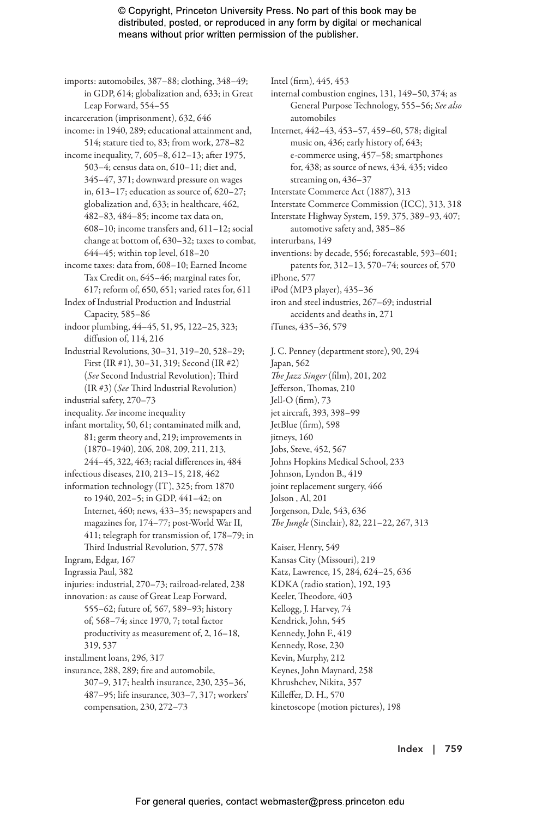imports: automobiles, 387–88; clothing, 348–49; in GDP, 614; globalization and, 633; in Great Leap Forward, 554–55 incarceration (imprisonment), 632, 646 income: in 1940, 289; educational attainment and, 514; stature tied to, 83; from work, 278–82 income inequality, 7, 605–8, 612–13; after 1975, 503–4; census data on, 610–11; diet and, 345–47, 371; downward pressure on wages in, 613–17; education as source of, 620–27; globalization and, 633; in healthcare, 462, 482–83, 484–85; income tax data on, 608–10; income transfers and, 611–12; social change at bottom of, 630–32; taxes to combat, 644–45; within top level, 618–20 income taxes: data from, 608–10; Earned Income Tax Credit on, 645–46; marginal rates for, 617; reform of, 650, 651; varied rates for, 611 Index of Industrial Production and Industrial Capacity, 585–86 indoor plumbing, 44–45, 51, 95, 122–25, 323; diffusion of, 114, 216 Industrial Revolutions, 30–31, 319–20, 528–29; First (IR #1), 30–31, 319; Second (IR #2) (*See* Second Industrial Revolution); Third (IR #3) (*See* Third Industrial Revolution) industrial safety, 270–73 inequality. *See* income inequality infant mortality, 50, 61; contaminated milk and, 81; germ theory and, 219; improvements in (1870–1940), 206, 208, 209, 211, 213, 244–45, 322, 463; racial differences in, 484 infectious diseases, 210, 213–15, 218, 462 information technology (IT), 325; from 1870 to 1940, 202–5; in GDP, 441–42; on Internet, 460; news, 433–35; newspapers and magazines for, 174–77; post-World War II, 411; telegraph for transmission of, 178–79; in Third Industrial Revolution, 577, 578 Ingram, Edgar, 167 Ingrassia Paul, 382 injuries: industrial, 270–73; railroad-related, 238 innovation: as cause of Great Leap Forward, 555–62; future of, 567, 589–93; history of, 568–74; since 1970, 7; total factor productivity as measurement of, 2, 16–18, 319, 537 installment loans, 296, 317 insurance, 288, 289; fire and automobile, 307–9, 317; health insurance, 230, 235–36, 487–95; life insurance, 303–7, 317; workers' compensation, 230, 272–73

Intel (firm), 445, 453 internal combustion engines, 131, 149–50, 374; as General Purpose Technology, 555–56; *See also* automobiles Internet, 442–43, 453–57, 459–60, 578; digital music on, 436; early history of, 643; e-commerce using, 457–58; smartphones for, 438; as source of news, 434, 435; video streaming on, 436–37 Interstate Commerce Act (1887), 313 Interstate Commerce Commission (ICC), 313, 318 Interstate Highway System, 159, 375, 389–93, 407; automotive safety and, 385–86 interurbans, 149 inventions: by decade, 556; forecastable, 593–601; patents for, 312–13, 570–74; sources of, 570 iPhone, 577 iPod (MP3 player), 435–36 iron and steel industries, 267–69; industrial accidents and deaths in, 271

iTunes, 435–36, 579

J. C. Penney (department store), 90, 294 Japan, 562 *The Jazz Singer* (film), 201, 202 Jefferson, Thomas, 210 Jell-O (firm), 73 jet aircraft, 393, 398–99 JetBlue (firm), 598 jitneys, 160 Jobs, Steve, 452, 567 Johns Hopkins Medical School, 233 Johnson, Lyndon B., 419 joint replacement surgery, 466 Jolson , Al, 201 Jorgenson, Dale, 543, 636 *The Jungle* (Sinclair), 82, 221–22, 267, 313

Kaiser, Henry, 549 Kansas City (Missouri), 219 Katz, Lawrence, 15, 284, 624–25, 636 KDKA (radio station), 192, 193 Keeler, Theodore, 403 Kellogg, J. Harvey, 74 Kendrick, John, 545 Kennedy, John F., 419 Kennedy, Rose, 230 Kevin, Murphy, 212 Keynes, John Maynard, 258 Khrushchev, Nikita, 357 Killeffer, D. H., 570 kinetoscope (motion pictures), 198

Index | 759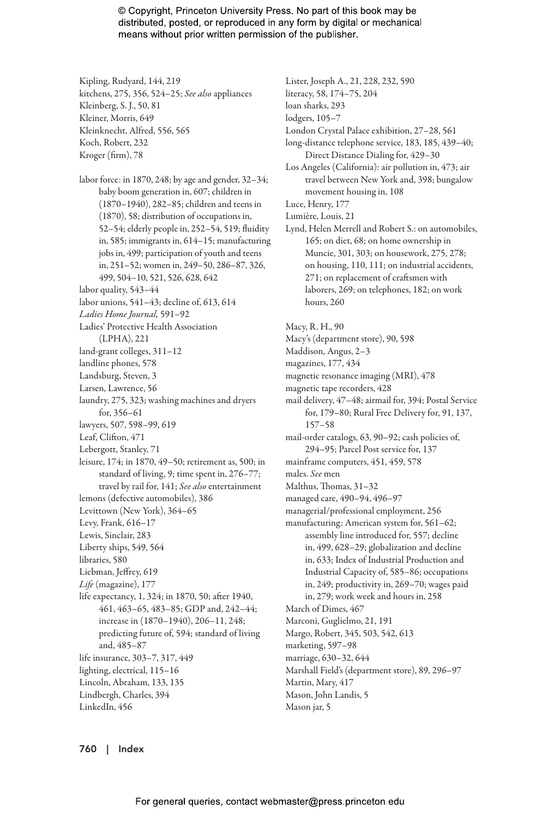Kipling, Rudyard, 144, 219 kitchens, 275, 356, 524–25; *See also* appliances Kleinberg, S. J., 50, 81 Kleiner, Morris, 649 Kleinknecht, Alfred, 556, 565 Koch, Robert, 232 Kroger (firm), 78

labor force: in 1870, 248; by age and gender, 32–34; baby boom generation in, 607; children in (1870–1940), 282–85; children and teens in (1870), 58; distribution of occupations in, 52–54; elderly people in, 252–54, 519; fluidity in, 585; immigrants in, 614–15; manufacturing jobs in, 499; participation of youth and teens in, 251–52; women in, 249–50, 286–87, 326, 499, 504–10, 521, 526, 628, 642 labor quality, 543–44 labor unions, 541–43; decline of, 613, 614 *Ladies Home Journal,* 591–92 Ladies' Protective Health Association (LPHA), 221 land-grant colleges, 311–12 landline phones, 578 Landsburg, Steven, 3 Larsen, Lawrence, 56 laundry, 275, 323; washing machines and dryers for, 356–61 lawyers, 507, 598–99, 619 Leaf, Clifton, 471 Lebergott, Stanley, 71 leisure, 174; in 1870, 49–50; retirement as, 500; in standard of living, 9; time spent in, 276–77; travel by rail for, 141; *See also* entertainment lemons (defective automobiles), 386 Levittown (New York), 364–65 Levy, Frank, 616–17 Lewis, Sinclair, 283 Liberty ships, 549, 564 libraries, 580 Liebman, Jeffrey, 619 *Life* (magazine), 177 life expectancy, 1, 324; in 1870, 50; after 1940, 461, 463–65, 483–85; GDP and, 242–44; increase in (1870–1940), 206–11, 248; predicting future of, 594; standard of living and, 485–87 life insurance, 303–7, 317, 449 lighting, electrical, 115–16 Lincoln, Abraham, 133, 135 Lindbergh, Charles, 394 LinkedIn, 456

Lister, Joseph A., 21, 228, 232, 590 literacy, 58, 174–75, 204 loan sharks, 293 lodgers, 105–7 London Crystal Palace exhibition, 27–28, 561 long-distance telephone service, 183, 185, 439–40; Direct Distance Dialing for, 429–30 Los Angeles (California): air pollution in, 473; air travel between New York and, 398; bungalow movement housing in, 108 Luce, Henry, 177 Lumière, Louis, 21 Lynd, Helen Merrell and Robert S.: on automobiles, 165; on diet, 68; on home ownership in Muncie, 301, 303; on housework, 275, 278; on housing, 110, 111; on industrial accidents, 271; on replacement of craftsmen with laborers, 269; on telephones, 182; on work hours, 260 Macy, R. H., 90 Macy's (department store), 90, 598 Maddison, Angus, 2–3 magazines, 177, 434 magnetic resonance imaging (MRI), 478 magnetic tape recorders, 428 mail delivery, 47–48; airmail for, 394; Postal Service for, 179–80; Rural Free Delivery for, 91, 137, 157–58 mail-order catalogs, 63, 90–92; cash policies of, 294–95; Parcel Post service for, 137 mainframe computers, 451, 459, 578 males. *See* men Malthus, Thomas, 31–32 managed care, 490–94, 496–97 managerial/professional employment, 256 manufacturing: American system for, 561–62; assembly line introduced for, 557; decline in, 499, 628–29; globalization and decline in, 633; Index of Industrial Production and Industrial Capacity of, 585–86; occupations in, 249; productivity in, 269–70; wages paid in, 279; work week and hours in, 258 March of Dimes, 467 Marconi, Guglielmo, 21, 191 Margo, Robert, 345, 503, 542, 613 marketing, 597–98 marriage, 630–32, 644 Marshall Field's (department store), 89, 296–97 Martin, Mary, 417 Mason, John Landis, 5 Mason jar, 5

760 | Index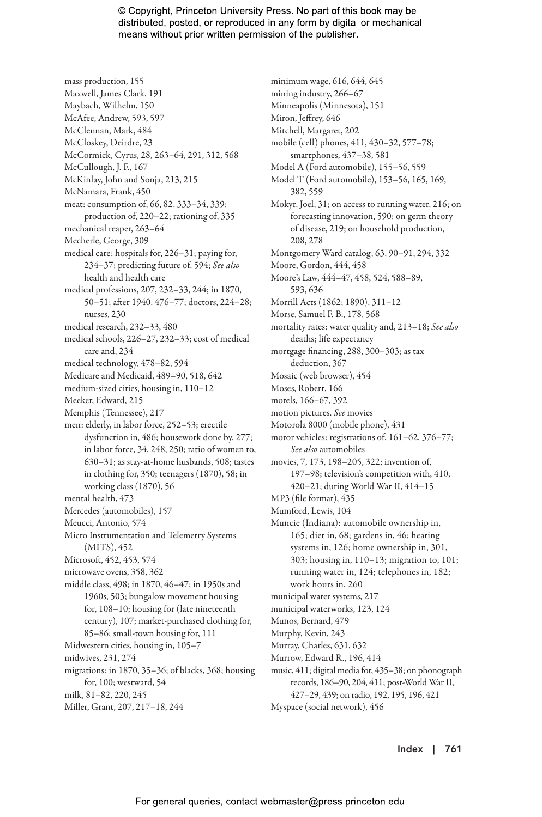mass production, 155 Maxwell, James Clark, 191 Maybach, Wilhelm, 150 McAfee, Andrew, 593, 597 McClennan, Mark, 484 McCloskey, Deirdre, 23 McCormick, Cyrus, 28, 263–64, 291, 312, 568 McCullough, J. F., 167 McKinlay, John and Sonja, 213, 215 McNamara, Frank, 450 meat: consumption of, 66, 82, 333–34, 339; production of, 220–22; rationing of, 335 mechanical reaper, 263–64 Mecherle, George, 309 medical care: hospitals for, 226–31; paying for, 234–37; predicting future of, 594; *See also* health and health care medical professions, 207, 232–33, 244; in 1870, 50–51; after 1940, 476–77; doctors, 224–28; nurses, 230 medical research, 232–33, 480 medical schools, 226–27, 232–33; cost of medical care and, 234 medical technology, 478–82, 594 Medicare and Medicaid, 489–90, 518, 642 medium-sized cities, housing in, 110–12 Meeker, Edward, 215 Memphis (Tennessee), 217 men: elderly, in labor force, 252–53; erectile dysfunction in, 486; housework done by, 277; in labor force, 34, 248, 250; ratio of women to, 630–31; as stay-at-home husbands, 508; tastes in clothing for, 350; teenagers (1870), 58; in working class (1870), 56 mental health, 473 Mercedes (automobiles), 157 Meucci, Antonio, 574 Micro Instrumentation and Telemetry Systems (MITS), 452 Microsoft, 452, 453, 574 microwave ovens, 358, 362 middle class, 498; in 1870, 46–47; in 1950s and 1960s, 503; bungalow movement housing for, 108–10; housing for (late nineteenth century), 107; market-purchased clothing for, 85–86; small-town housing for, 111 Midwestern cities, housing in, 105–7 midwives, 231, 274 migrations: in 1870, 35–36; of blacks, 368; housing for, 100; westward, 54 milk, 81–82, 220, 245 Miller, Grant, 207, 217–18, 244

minimum wage, 616, 644, 645 mining industry, 266–67 Minneapolis (Minnesota), 151 Miron, Jeffrey, 646 Mitchell, Margaret, 202 mobile (cell) phones, 411, 430–32, 577–78; smartphones, 437–38, 581 Model A (Ford automobile), 155–56, 559 Model T (Ford automobile), 153–56, 165, 169, 382, 559 Mokyr, Joel, 31; on access to running water, 216; on forecasting innovation, 590; on germ theory of disease, 219; on household production, 208, 278 Montgomery Ward catalog, 63, 90–91, 294, 332 Moore, Gordon, 444, 458 Moore's Law, 444–47, 458, 524, 588–89, 593, 636 Morrill Acts (1862; 1890), 311–12 Morse, Samuel F. B., 178, 568 mortality rates: water quality and, 213–18; *See also* deaths; life expectancy mortgage financing, 288, 300–303; as tax deduction, 367 Mosaic (web browser), 454 Moses, Robert, 166 motels, 166–67, 392 motion pictures. *See* movies Motorola 8000 (mobile phone), 431 motor vehicles: registrations of, 161–62, 376–77; *See also* automobiles movies, 7, 173, 198–205, 322; invention of, 197–98; television's competition with, 410, 420–21; during World War II, 414–15 MP3 (file format), 435 Mumford, Lewis, 104 Muncie (Indiana): automobile ownership in, 165; diet in, 68; gardens in, 46; heating systems in, 126; home ownership in, 301, 303; housing in, 110–13; migration to, 101; running water in, 124; telephones in, 182; work hours in, 260 municipal water systems, 217 municipal waterworks, 123, 124 Munos, Bernard, 479 Murphy, Kevin, 243 Murray, Charles, 631, 632 Murrow, Edward R., 196, 414 music, 411; digital media for, 435–38; on phonograph records, 186–90, 204, 411; post-World War II, 427–29, 439; on radio, 192, 195, 196, 421

Index | 761

Myspace (social network), 456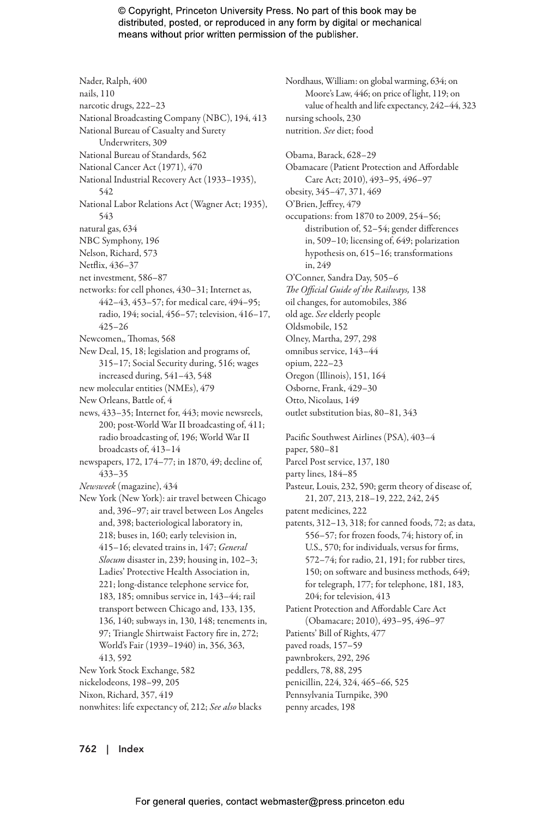Nader, Ralph, 400 nails, 110 narcotic drugs, 222–23 National Broadcasting Company (NBC), 194, 413 National Bureau of Casualty and Surety Underwriters, 309 National Bureau of Standards, 562 National Cancer Act (1971), 470 National Industrial Recovery Act (1933–1935), 542 National Labor Relations Act (Wagner Act; 1935), 543 natural gas, 634 NBC Symphony, 196 Nelson, Richard, 573 Netflix, 436–37 net investment, 586–87 networks: for cell phones, 430–31; Internet as, 442–43, 453–57; for medical care, 494–95; radio, 194; social, 456–57; television, 416–17, 425–26 Newcomen,, Thomas, 568 New Deal, 15, 18; legislation and programs of, 315–17; Social Security during, 516; wages increased during, 541–43, 548 new molecular entities (NMEs), 479 New Orleans, Battle of, 4 news, 433–35; Internet for, 443; movie newsreels, 200; post-World War II broadcasting of, 411; radio broadcasting of, 196; World War II broadcasts of, 413–14 newspapers, 172, 174–77; in 1870, 49; decline of, 433–35 *Newsweek* (magazine), 434 New York (New York): air travel between Chicago and, 396–97; air travel between Los Angeles and, 398; bacteriological laboratory in, 218; buses in, 160; early television in, 415–16; elevated trains in, 147; *General Slocum* disaster in, 239; housing in, 102–3; Ladies' Protective Health Association in, 221; long-distance telephone service for, 183, 185; omnibus service in, 143–44; rail transport between Chicago and, 133, 135, 136, 140; subways in, 130, 148; tenements in, 97; Triangle Shirtwaist Factory fire in, 272; World's Fair (1939–1940) in, 356, 363, 413, 592 New York Stock Exchange, 582 nickelodeons, 198–99, 205 Nixon, Richard, 357, 419 nonwhites: life expectancy of, 212; *See also* blacks

Nordhaus, William: on global warming, 634; on Moore's Law, 446; on price of light, 119; on value of health and life expectancy, 242–44, 323 nursing schools, 230 nutrition. *See* diet; food Obama, Barack, 628–29 Obamacare (Patient Protection and Affordable Care Act; 2010), 493–95, 496–97 obesity, 345–47, 371, 469 O'Brien, Jeffrey, 479 occupations: from 1870 to 2009, 254–56; distribution of, 52–54; gender differences in, 509–10; licensing of, 649; polarization hypothesis on, 615–16; transformations in, 249 O'Conner, Sandra Day, 505–6 *The Official Guide of the Railways,* 138 oil changes, for automobiles, 386 old age. *See* elderly people Oldsmobile, 152 Olney, Martha, 297, 298 omnibus service, 143–44 opium, 222–23 Oregon (Illinois), 151, 164 Osborne, Frank, 429–30 Otto, Nicolaus, 149 outlet substitution bias, 80–81, 343 Pacific Southwest Airlines (PSA), 403–4 paper, 580–81 Parcel Post service, 137, 180 party lines, 184–85 Pasteur, Louis, 232, 590; germ theory of disease of, 21, 207, 213, 218–19, 222, 242, 245 patent medicines, 222 patents, 312–13, 318; for canned foods, 72; as data, 556–57; for frozen foods, 74; history of, in U.S., 570; for individuals, versus for firms, 572–74; for radio, 21, 191; for rubber tires, 150; on software and business methods, 649; for telegraph, 177; for telephone, 181, 183, 204; for television, 413 Patient Protection and Affordable Care Act (Obamacare; 2010), 493–95, 496–97 Patients' Bill of Rights, 477 paved roads, 157–59 pawnbrokers, 292, 296 peddlers, 78, 88, 295 penicillin, 224, 324, 465–66, 525 Pennsylvania Turnpike, 390

#### 762 | Index

penny arcades, 198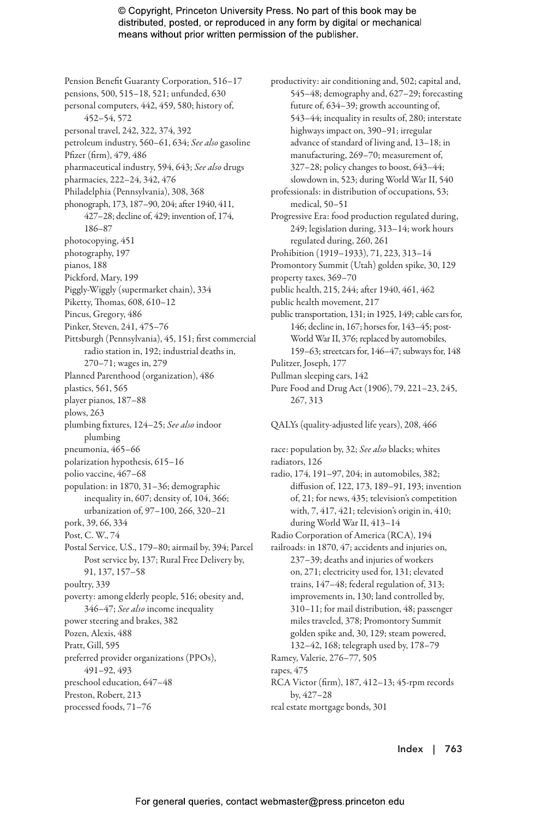Pension Benefit Guaranty Corporation, 516–17 pensions, 500, 515–18, 521; unfunded, 630 personal computers, 442, 459, 580; history of, 452–54, 572 personal travel, 242, 322, 374, 392 petroleum industry, 560–61, 634; *See also* gasoline Pfizer (firm), 479, 486 pharmaceutical industry, 594, 643; *See also* drugs pharmacies, 222–24, 342, 476 Philadelphia (Pennsylvania), 308, 368 phonograph, 173, 187–90, 204; after 1940, 411, 427–28; decline of, 429; invention of, 174, 186–87 photocopying, 451 photography, 197 pianos, 188 Pickford, Mary, 199 Piggly-Wiggly (supermarket chain), 334 Piketty, Thomas, 608, 610–12 Pincus, Gregory, 486 Pinker, Steven, 241, 475–76 Pittsburgh (Pennsylvania), 45, 151; first commercial radio station in, 192; industrial deaths in, 270–71; wages in, 279 Planned Parenthood (organization), 486 plastics, 561, 565 player pianos, 187–88 plows, 263 plumbing fixtures, 124–25; *See also* indoor plumbing pneumonia, 465–66 polarization hypothesis, 615–16 polio vaccine, 467–68 population: in 1870, 31–36; demographic inequality in, 607; density of, 104, 366; urbanization of, 97–100, 266, 320–21 pork, 39, 66, 334 Post, C. W., 74 Postal Service, U.S., 179–80; airmail by, 394; Parcel Post service by, 137; Rural Free Delivery by, 91, 137, 157–58 poultry, 339 poverty: among elderly people, 516; obesity and, 346–47; *See also* income inequality power steering and brakes, 382 Pozen, Alexis, 488 Pratt, Gill, 595 preferred provider organizations (PPOs), 491–92, 493 preschool education, 647–48 Preston, Robert, 213 processed foods, 71–76

productivity: air conditioning and, 502; capital and, 545–48; demography and, 627–29; forecasting future of, 634–39; growth accounting of, 543–44; inequality in results of, 280; interstate highways impact on, 390–91; irregular advance of standard of living and, 13–18; in manufacturing, 269–70; measurement of, 327–28; policy changes to boost, 643–44; slowdown in, 523; during World War II, 540 professionals: in distribution of occupations, 53; medical, 50–51 Progressive Era: food production regulated during,

249; legislation during, 313–14; work hours regulated during, 260, 261

- Prohibition (1919–1933), 71, 223, 313–14
- Promontory Summit (Utah) golden spike, 30, 129

property taxes, 369–70

public health, 215, 244; after 1940, 461, 462

public health movement, 217

public transportation, 131; in 1925, 149; cable cars for, 146; decline in, 167; horses for, 143–45; post-World War II, 376; replaced by automobiles, 159–63; streetcars for, 146–47; subways for, 148

Pulitzer, Joseph, 177

- Pullman sleeping cars, 142
- Pure Food and Drug Act (1906), 79, 221–23, 245, 267, 313
- QALYs (quality-adjusted life years), 208, 466

race: population by, 32; *See also* blacks; whites radiators, 126 radio, 174, 191–97, 204; in automobiles, 382; diffusion of, 122, 173, 189–91, 193; invention of, 21; for news, 435; television's competition with, 7, 417, 421; television's origin in, 410; during World War II, 413–14 Radio Corporation of America (RCA), 194 railroads: in 1870, 47; accidents and injuries on, 237–39; deaths and injuries of workers on, 271; electricity used for, 131; elevated trains, 147–48; federal regulation of, 313; improvements in, 130; land controlled by, 310–11; for mail distribution, 48; passenger miles traveled, 378; Promontory Summit golden spike and, 30, 129; steam powered, 132–42, 168; telegraph used by, 178–79 Ramey, Valerie, 276–77, 505 rapes, 475 RCA Victor (firm), 187, 412–13; 45-rpm records by, 427–28

real estate mortgage bonds, 301

Index | 763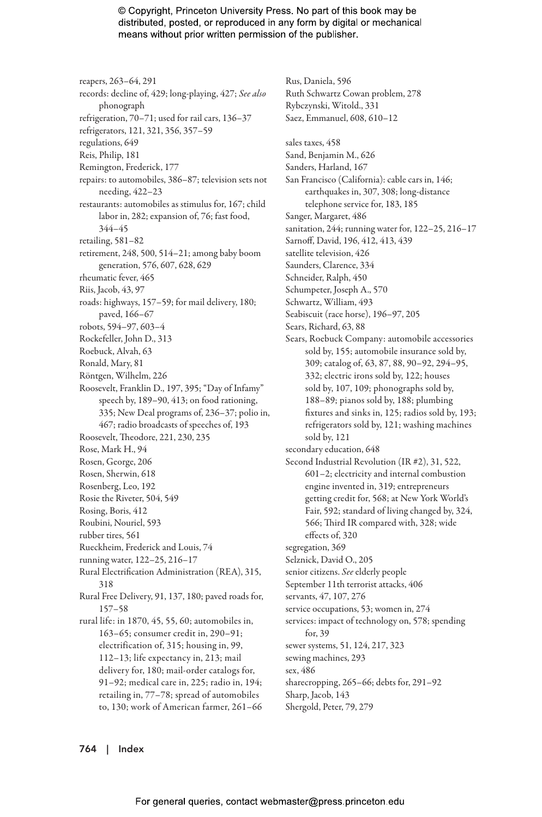reapers, 263–64, 291

- records: decline of, 429; long-playing, 427; *See also* phonograph
- refrigeration, 70–71; used for rail cars, 136–37
- refrigerators, 121, 321, 356, 357–59
- regulations, 649
- Reis, Philip, 181
- Remington, Frederick, 177
- repairs: to automobiles, 386–87; television sets not needing, 422–23
- restaurants: automobiles as stimulus for, 167; child labor in, 282; expansion of, 76; fast food, 344–45
- retailing, 581–82
- retirement, 248, 500, 514–21; among baby boom generation, 576, 607, 628, 629
- rheumatic fever, 465
- Riis, Jacob, 43, 97
- roads: highways, 157–59; for mail delivery, 180; paved, 166–67
- robots, 594–97, 603–4
- Rockefeller, John D., 313
- Roebuck, Alvah, 63
- Ronald, Mary, 81
- Röntgen, Wilhelm, 226
- Roosevelt, Franklin D., 197, 395; "Day of Infamy" speech by, 189–90, 413; on food rationing, 335; New Deal programs of, 236–37; polio in, 467; radio broadcasts of speeches of, 193
- Roosevelt, Theodore, 221, 230, 235
- Rose, Mark H., 94
- Rosen, George, 206
- Rosen, Sherwin, 618
- Rosenberg, Leo, 192
- Rosie the Riveter, 504, 549
- Rosing, Boris, 412
- Roubini, Nouriel, 593
- rubber tires, 561
- Rueckheim, Frederick and Louis, 74
- running water, 122–25, 216–17
- Rural Electrification Administration (REA), 315, 318
- Rural Free Delivery, 91, 137, 180; paved roads for, 157–58
- rural life: in 1870, 45, 55, 60; automobiles in, 163–65; consumer credit in, 290–91; electrification of, 315; housing in, 99, 112–13; life expectancy in, 213; mail delivery for, 180; mail-order catalogs for, 91–92; medical care in, 225; radio in, 194; retailing in, 77–78; spread of automobiles to, 130; work of American farmer, 261–66

Rus, Daniela, 596 Ruth Schwartz Cowan problem, 278 Rybczynski, Witold., 331 Saez, Emmanuel, 608, 610–12 sales taxes, 458 Sand, Benjamin M., 626 Sanders, Harland, 167 San Francisco (California): cable cars in, 146; earthquakes in, 307, 308; long-distance telephone service for, 183, 185 Sanger, Margaret, 486 sanitation, 244; running water for, 122–25, 216–17 Sarnoff, David, 196, 412, 413, 439 satellite television, 426 Saunders, Clarence, 334 Schneider, Ralph, 450 Schumpeter, Joseph A., 570 Schwartz, William, 493 Seabiscuit (race horse), 196–97, 205 Sears, Richard, 63, 88 Sears, Roebuck Company: automobile accessories sold by, 155; automobile insurance sold by, 309; catalog of, 63, 87, 88, 90–92, 294–95, 332; electric irons sold by, 122; houses sold by, 107, 109; phonographs sold by, 188–89; pianos sold by, 188; plumbing fixtures and sinks in, 125; radios sold by, 193; refrigerators sold by, 121; washing machines sold by, 121 secondary education, 648 Second Industrial Revolution (IR #2), 31, 522, 601–2; electricity and internal combustion engine invented in, 319; entrepreneurs getting credit for, 568; at New York World's Fair, 592; standard of living changed by, 324, 566; Third IR compared with, 328; wide effects of, 320 segregation, 369 Selznick, David O., 205 senior citizens. *See* elderly people September 11th terrorist attacks, 406 servants, 47, 107, 276 service occupations, 53; women in, 274 services: impact of technology on, 578; spending for, 39 sewer systems, 51, 124, 217, 323 sewing machines, 293 sex, 486 sharecropping, 265–66; debts for, 291–92 Sharp, Jacob, 143 Shergold, Peter, 79, 279

764 | Index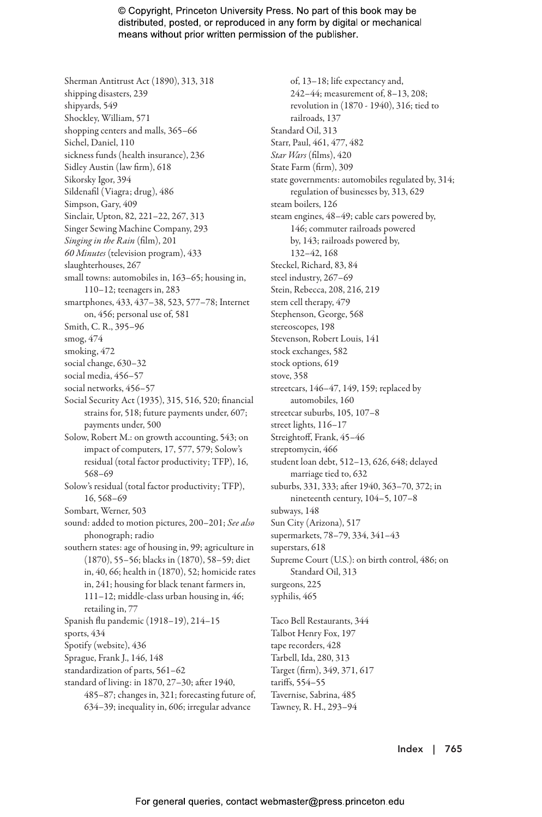Sherman Antitrust Act (1890), 313, 318 shipping disasters, 239 shipyards, 549 Shockley, William, 571 shopping centers and malls, 365–66 Sichel, Daniel, 110 sickness funds (health insurance), 236 Sidley Austin (law firm), 618 Sikorsky Igor, 394 Sildenafil (Viagra; drug), 486 Simpson, Gary, 409 Sinclair, Upton, 82, 221–22, 267, 313 Singer Sewing Machine Company, 293 *Singing in the Rain* (film), 201 *60 Minutes* (television program), 433 slaughterhouses, 267 small towns: automobiles in, 163–65; housing in, 110–12; teenagers in, 283 smartphones, 433, 437–38, 523, 577–78; Internet on, 456; personal use of, 581 Smith, C. R., 395–96 smog, 474 smoking, 472 social change, 630–32 social media, 456–57 social networks, 456–57 Social Security Act (1935), 315, 516, 520; financial strains for, 518; future payments under, 607; payments under, 500 Solow, Robert M.: on growth accounting, 543; on impact of computers, 17, 577, 579; Solow's residual (total factor productivity; TFP), 16, 568–69 Solow's residual (total factor productivity; TFP), 16, 568–69 Sombart, Werner, 503 sound: added to motion pictures, 200–201; *See also* phonograph; radio southern states: age of housing in, 99; agriculture in (1870), 55–56; blacks in (1870), 58–59; diet in, 40, 66; health in (1870), 52; homicide rates in, 241; housing for black tenant farmers in, 111–12; middle-class urban housing in, 46; retailing in, 77 Spanish flu pandemic (1918–19), 214–15 sports, 434 Spotify (website), 436 Sprague, Frank J., 146, 148 standardization of parts, 561–62 standard of living: in 1870, 27–30; after 1940, 485–87; changes in, 321; forecasting future of, 634–39; inequality in, 606; irregular advance

of, 13–18; life expectancy and, 242–44; measurement of, 8–13, 208; revolution in (1870 - 1940), 316; tied to railroads, 137 Standard Oil, 313 Starr, Paul, 461, 477, 482 *Star Wars* (films), 420 State Farm (firm), 309 state governments: automobiles regulated by, 314; regulation of businesses by, 313, 629 steam boilers, 126 steam engines, 48–49; cable cars powered by, 146; commuter railroads powered by, 143; railroads powered by, 132–42, 168 Steckel, Richard, 83, 84 steel industry, 267–69 Stein, Rebecca, 208, 216, 219 stem cell therapy, 479 Stephenson, George, 568 stereoscopes, 198 Stevenson, Robert Louis, 141 stock exchanges, 582 stock options, 619 stove, 358 streetcars, 146–47, 149, 159; replaced by automobiles, 160 streetcar suburbs, 105, 107–8 street lights, 116–17 Streightoff, Frank, 45–46 streptomycin, 466 student loan debt, 512–13, 626, 648; delayed marriage tied to, 632 suburbs, 331, 333; after 1940, 363–70, 372; in nineteenth century, 104–5, 107–8 subways, 148 Sun City (Arizona), 517 supermarkets, 78–79, 334, 341–43 superstars, 618 Supreme Court (U.S.): on birth control, 486; on Standard Oil, 313 surgeons, 225 syphilis, 465 Taco Bell Restaurants, 344

Talbot Henry Fox, 197 tape recorders, 428 Tarbell, Ida, 280, 313 Target (firm), 349, 371, 617 tariffs, 554–55 Tavernise, Sabrina, 485 Tawney, R. H., 293–94

Index | 765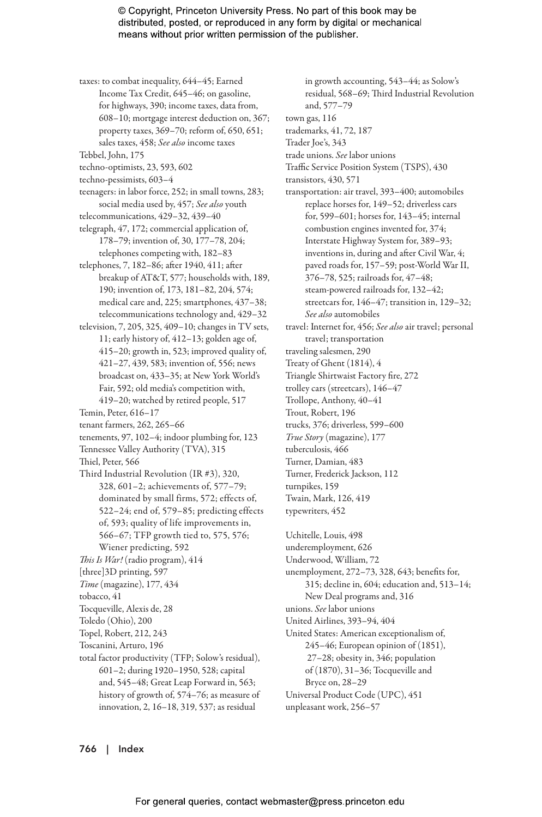- taxes: to combat inequality, 644–45; Earned Income Tax Credit, 645–46; on gasoline, for highways, 390; income taxes, data from, 608–10; mortgage interest deduction on, 367; property taxes, 369–70; reform of, 650, 651; sales taxes, 458; *See also* income taxes
- Tebbel, John, 175
- techno-optimists, 23, 593, 602
- techno-pessimists, 603–4
- teenagers: in labor force, 252; in small towns, 283; social media used by, 457; *See also* youth
- telecommunications, 429–32, 439–40
- telegraph, 47, 172; commercial application of, 178–79; invention of, 30, 177–78, 204; telephones competing with, 182–83
- telephones, 7, 182–86; after 1940, 411; after breakup of AT&T, 577; households with, 189, 190; invention of, 173, 181–82, 204, 574; medical care and, 225; smartphones, 437–38; telecommunications technology and, 429–32
- television, 7, 205, 325, 409–10; changes in TV sets, 11; early history of, 412–13; golden age of, 415–20; growth in, 523; improved quality of, 421–27, 439, 583; invention of, 556; news broadcast on, 433–35; at New York World's Fair, 592; old media's competition with, 419–20; watched by retired people, 517
- Temin, Peter, 616–17
- tenant farmers, 262, 265–66 tenements, 97, 102–4; indoor plumbing for, 123
- Tennessee Valley Authority (TVA), 315
- 
- Thiel, Peter, 566
- Third Industrial Revolution (IR #3), 320, 328, 601–2; achievements of, 577–79; dominated by small firms, 572; effects of, 522–24; end of, 579–85; predicting effects of, 593; quality of life improvements in, 566–67; TFP growth tied to, 575, 576; Wiener predicting, 592
- *This Is War!* (radio program), 414
- [three]3D printing, 597
- *Time* (magazine), 177, 434
- tobacco, 41
- Tocqueville, Alexis de, 28
- Toledo (Ohio), 200
- Topel, Robert, 212, 243
- Toscanini, Arturo, 196
- total factor productivity (TFP; Solow's residual), 601–2; during 1920–1950, 528; capital and, 545–48; Great Leap Forward in, 563; history of growth of, 574–76; as measure of innovation, 2, 16–18, 319, 537; as residual
- in growth accounting, 543–44; as Solow's residual, 568–69; Third Industrial Revolution and, 577–79
- town gas, 116
- trademarks, 41, 72, 187
- Trader Joe's, 343
- trade unions. *See* labor unions
- Traffic Service Position System (TSPS), 430
- transistors, 430, 571
- transportation: air travel, 393–400; automobiles replace horses for, 149–52; driverless cars for, 599–601; horses for, 143–45; internal combustion engines invented for, 374; Interstate Highway System for, 389–93; inventions in, during and after Civil War, 4; paved roads for, 157–59; post-World War II, 376–78, 525; railroads for, 47–48; steam-powered railroads for, 132–42; streetcars for, 146–47; transition in, 129–32; *See also* automobiles
- travel: Internet for, 456; *See also* air travel; personal travel; transportation
- traveling salesmen, 290
- Treaty of Ghent (1814), 4
- Triangle Shirtwaist Factory fire, 272
- trolley cars (streetcars), 146–47
- Trollope, Anthony, 40–41
- Trout, Robert, 196
- trucks, 376; driverless, 599–600
- *True Story* (magazine), 177
- tuberculosis, 466
- Turner, Damian, 483 Turner, Frederick Jackson, 112
- 
- turnpikes, 159
- Twain, Mark, 126, 419
- typewriters, 452

Uchitelle, Louis, 498

underemployment, 626

Underwood, William, 72

- unemployment, 272–73, 328, 643; benefits for, 315; decline in, 604; education and, 513–14;
	- New Deal programs and, 316

unions. *See* labor unions

- United Airlines, 393–94, 404
- United States: American exceptionalism of, 245–46; European opinion of (1851), 27–28; obesity in, 346; population of (1870), 31–36; Tocqueville and
- Bryce on, 28–29 Universal Product Code (UPC), 451
- unpleasant work, 256–57

766 | Index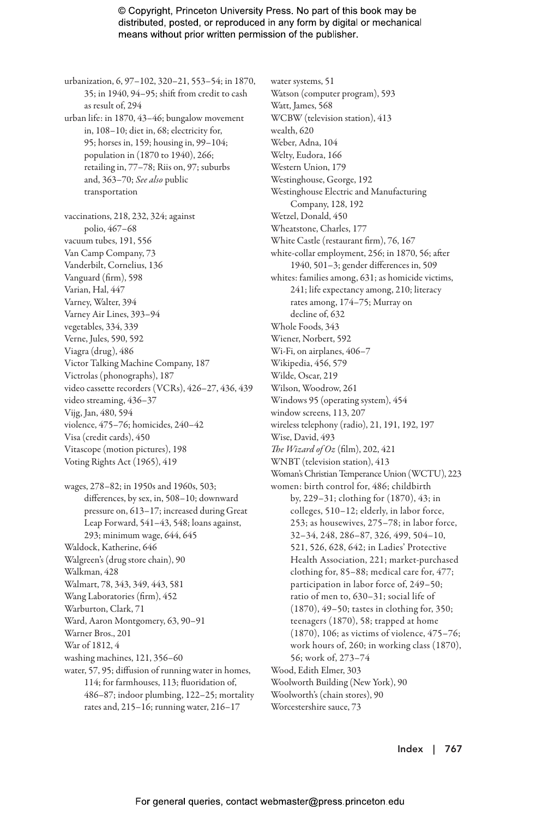urbanization, 6, 97–102, 320–21, 553–54; in 1870, 35; in 1940, 94–95; shift from credit to cash as result of, 294 urban life: in 1870, 43–46; bungalow movement in, 108–10; diet in, 68; electricity for, 95; horses in, 159; housing in, 99–104; population in (1870 to 1940), 266; retailing in, 77–78; Riis on, 97; suburbs and, 363–70; *See also* public transportation vaccinations, 218, 232, 324; against polio, 467–68 vacuum tubes, 191, 556 Van Camp Company, 73 Vanderbilt, Cornelius, 136 Vanguard (firm), 598 Varian, Hal, 447 Varney, Walter, 394 Varney Air Lines, 393–94 vegetables, 334, 339 Verne, Jules, 590, 592 Viagra (drug), 486 Victor Talking Machine Company, 187 Victrolas (phonographs), 187 video cassette recorders (VCRs), 426–27, 436, 439 video streaming, 436–37 Vijg, Jan, 480, 594 violence, 475–76; homicides, 240–42 Visa (credit cards), 450

wages, 278–82; in 1950s and 1960s, 503; differences, by sex, in, 508–10; downward pressure on, 613–17; increased during Great Leap Forward, 541–43, 548; loans against, 293; minimum wage, 644, 645 Waldock, Katherine, 646 Walgreen's (drug store chain), 90 Walkman, 428 Walmart, 78, 343, 349, 443, 581 Wang Laboratories (firm), 452 Warburton, Clark, 71 Ward, Aaron Montgomery, 63, 90–91 Warner Bros., 201 War of 1812, 4 washing machines, 121, 356–60 water, 57, 95; diffusion of running water in homes, 114; for farmhouses, 113; fluoridation of, 486–87; indoor plumbing, 122–25; mortality rates and, 215–16; running water, 216–17

Vitascope (motion pictures), 198 Voting Rights Act (1965), 419

water systems, 51 Watson (computer program), 593 Watt, James, 568 WCBW (television station), 413 wealth, 620 Weber, Adna, 104 Welty, Eudora, 166 Western Union, 179 Westinghouse, George, 192 Westinghouse Electric and Manufacturing Company, 128, 192 Wetzel, Donald, 450 Wheatstone, Charles, 177 White Castle (restaurant firm), 76, 167 white-collar employment, 256; in 1870, 56; after 1940, 501–3; gender differences in, 509 whites: families among, 631; as homicide victims, 241; life expectancy among, 210; literacy rates among, 174–75; Murray on decline of, 632 Whole Foods, 343 Wiener, Norbert, 592 Wi-Fi, on airplanes, 406–7 Wikipedia, 456, 579 Wilde, Oscar, 219 Wilson, Woodrow, 261 Windows 95 (operating system), 454 window screens, 113, 207 wireless telephony (radio), 21, 191, 192, 197 Wise, David, 493 *The Wizard of Oz* (film), 202, 421 WNBT (television station), 413 Woman's Christian Temperance Union (WCTU), 223 women: birth control for, 486; childbirth by, 229–31; clothing for (1870), 43; in colleges, 510–12; elderly, in labor force, 253; as housewives, 275–78; in labor force, 32–34, 248, 286–87, 326, 499, 504–10, 521, 526, 628, 642; in Ladies' Protective Health Association, 221; market-purchased clothing for, 85–88; medical care for, 477; participation in labor force of, 249–50; ratio of men to, 630–31; social life of (1870), 49–50; tastes in clothing for, 350; teenagers (1870), 58; trapped at home (1870), 106; as victims of violence, 475–76; work hours of, 260; in working class (1870), 56; work of, 273–74 Wood, Edith Elmer, 303 Woolworth Building (New York), 90 Woolworth's (chain stores), 90 Worcestershire sauce, 73

Index | 767